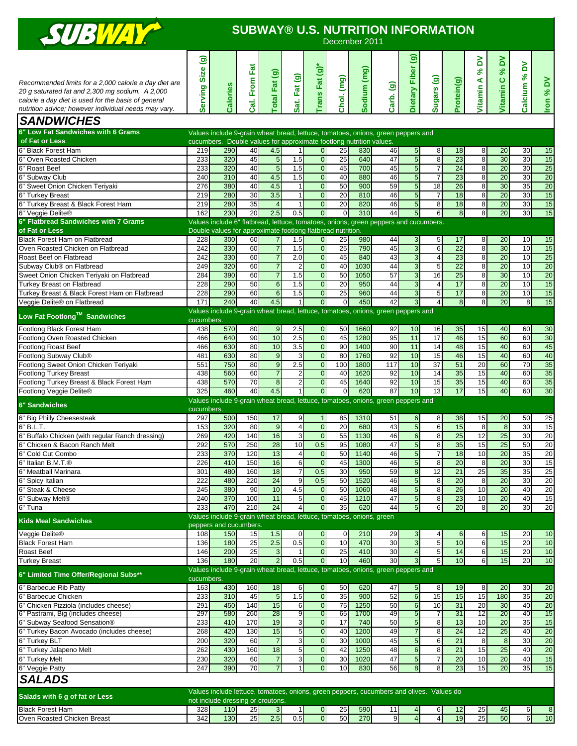

## **SUBWAY® U.S. NUTRITION INFORMATION**

| $\overline{\phantom{a}}$                                                                                                                                                                                                |                                     |                                                                                                                               |               |                                  |                                  |                                    |                       | December 2011 |                 |                                         |                                  |                       |                               |                                     |                                            |           |
|-------------------------------------------------------------------------------------------------------------------------------------------------------------------------------------------------------------------------|-------------------------------------|-------------------------------------------------------------------------------------------------------------------------------|---------------|----------------------------------|----------------------------------|------------------------------------|-----------------------|---------------|-----------------|-----------------------------------------|----------------------------------|-----------------------|-------------------------------|-------------------------------------|--------------------------------------------|-----------|
| Recommended limits for a 2,000 calorie a day diet are<br>20 g saturated fat and 2,300 mg sodium. A 2,000<br>calorie a day diet is used for the basis of general<br>nutrition advice; however individual needs may vary. | මි<br><b>Size</b><br><b>Serving</b> | Calories                                                                                                                      | Cal. From Fat | [otal Fat (g)                    | Sat. Fat (g)                     | Trans Fat (g)                      | Chol. (mg)            | Sodium (mg)   | Carb. (g)       | $\widehat{\mathbf{e}}$<br>Dietary Fiber | Sugars (g)                       | Protein(g)            | δ<br>$\infty$<br>⋖<br>Vitamin | δ<br>$\infty$<br>$\circ$<br>Vitamin | δ<br>$\mathcal{S}^{\mathbf{c}}$<br>Calcium | Iron % DV |
| <b>SANDWICHES</b>                                                                                                                                                                                                       |                                     |                                                                                                                               |               |                                  |                                  |                                    |                       |               |                 |                                         |                                  |                       |                               |                                     |                                            |           |
| 6" Low Fat Sandwiches with 6 Grams                                                                                                                                                                                      |                                     | Values include 9-grain wheat bread, lettuce, tomatoes, onions, green peppers and                                              |               |                                  |                                  |                                    |                       |               |                 |                                         |                                  |                       |                               |                                     |                                            |           |
| of Fat or Less                                                                                                                                                                                                          |                                     | cucumbers. Double values for approximate footlong nutrition values.                                                           |               |                                  |                                  |                                    |                       |               |                 |                                         |                                  |                       |                               |                                     |                                            |           |
| Black Forest Ham<br>Oven Roasted Chicken                                                                                                                                                                                | 219<br>233                          | 290<br>320                                                                                                                    | 40<br>45      | 4.5<br>$\overline{5}$            | $\mathbf{1}$<br>1.5              | $\overline{0}$<br>$\overline{0}$   | 25<br>$\overline{25}$ | 830<br>640    | 46<br>47        | 5 <sub>l</sub><br>5                     | 8<br>8                           | 18<br>23              | 8<br>$\overline{8}$           | 20<br>30                            | 30<br>30                                   | 15<br>15  |
| 6" Roast Beef                                                                                                                                                                                                           | 233                                 | 320                                                                                                                           | 40            | 5                                | 1.5                              | $\overline{0}$                     | 45                    | 700           | 45              | $5\overline{)}$                         | $\overline{7}$                   | $\overline{24}$       | 8                             | 20                                  | 30                                         | 25        |
| 6" Subway Club                                                                                                                                                                                                          | 240                                 | 310                                                                                                                           | 40            | 4.5                              | 1.5                              | $\overline{0}$                     | 40                    | 880           | 46              | $5\overline{)}$                         | $\overline{7}$                   | 23                    | $\overline{8}$                | $\overline{20}$                     | 30                                         | 20        |
| 6" Sweet Onion Chicken Teriyaki                                                                                                                                                                                         | 276                                 | 380                                                                                                                           | 40            | 4.5                              | 1                                | $\overline{0}$                     | 50                    | 900           | 59              | 5                                       | 18                               | 26                    | 8                             | 30                                  | 35                                         | 20        |
| 6" Turkey Breast<br>6" Turkey Breast & Black Forest Ham                                                                                                                                                                 | 219<br>219                          | 280<br>280                                                                                                                    | 30<br>35      | 3.5<br>$\overline{4}$            | $\mathbf{1}$<br>$\mathbf{1}$     | $\overline{0}$<br>$\overline{0}$   | 20<br>20              | 810<br>820    | 46<br>46        | 5<br>5                                  | $\overline{7}$<br>8              | 18<br>18              | $\overline{8}$<br>8           | 20<br>20                            | 30<br>30                                   | 15<br>15  |
| 6" Veggie Delite®                                                                                                                                                                                                       | 162                                 | 230                                                                                                                           | 20            | 2.5                              | 0.5                              | $\overline{0}$                     | $\mathbf 0$           | 310           | 44              | 5                                       | 6                                | $\bf 8$               | 8                             | 20                                  | 30                                         | 15        |
| 6" Flatbread Sandwiches with 7 Grams                                                                                                                                                                                    |                                     | Values include 6" flatbread, lettuce, tomatoes, onions, green peppers and cucumbers.                                          |               |                                  |                                  |                                    |                       |               |                 |                                         |                                  |                       |                               |                                     |                                            |           |
| of Fat or Less                                                                                                                                                                                                          |                                     | Double values for approximate footlong flatbread nutrition.                                                                   |               |                                  |                                  |                                    |                       |               |                 |                                         |                                  |                       |                               |                                     |                                            |           |
| Black Forest Ham on Flatbread<br>Oven Roasted Chicken on Flatbread                                                                                                                                                      | 228<br>242                          | 300<br>330                                                                                                                    | 60<br>60      | $\overline{7}$<br>$\overline{7}$ | 1.5<br>1.5                       | $\overline{0}$<br>$\overline{0}$   | 25<br>25              | 980<br>790    | 44<br>45        | 3<br>$\mathbf{3}$                       | 5<br>6                           | 17<br>$\overline{22}$ | 8<br>$\overline{8}$           | 20<br>30                            | 10<br>10                                   | 15<br>15  |
| Roast Beef on Flatbread                                                                                                                                                                                                 | 242                                 | 330                                                                                                                           | 60            | $\overline{7}$                   | 2.0                              | $\overline{0}$                     | 45                    | 840           | 43              | 3                                       | $\overline{4}$                   | 23                    | $\overline{8}$                | $\overline{20}$                     | 10                                         | 25        |
| Subway Club <sup>®</sup> on Flatbread                                                                                                                                                                                   | 249                                 | 320                                                                                                                           | 60            | $\overline{7}$                   | $\overline{c}$                   | $\overline{0}$                     | 40                    | 1030          | 44              | 3                                       | 5                                | 22                    | 8                             | 20                                  | 10                                         | 20        |
| Sweet Onion Chicken Teriyaki on Flatbread                                                                                                                                                                               | 284                                 | 390                                                                                                                           | 60            | $\overline{7}$                   | 1.5                              | $\overline{0}$                     | 50                    | 1050          | 57              | $\overline{3}$                          | 16                               | $\overline{25}$       | 8                             | 30                                  | 10                                         | 20        |
| <b>Turkey Breast on Flatbread</b><br>Turkey Breast & Black Forest Ham on Flatbread                                                                                                                                      | 228<br>228                          | 290<br>290                                                                                                                    | 50<br>60      | $6\phantom{1}6$<br>6             | 1.5<br>1.5                       | $\overline{0}$<br>$\overline{0}$   | 20<br>25              | 950<br>960    | 44<br>44        | $\mathbf{3}$<br>3                       | $\overline{4}$<br>$\overline{5}$ | 17<br>17              | $\overline{8}$<br>8           | $\overline{20}$<br>20               | 10<br>10                                   | 15<br>15  |
| Veggie Delite® on Flatbread                                                                                                                                                                                             | 171                                 | 240                                                                                                                           | 40            | 4.5                              | 1                                | $\overline{0}$                     | $\Omega$              | 450           | 42              | 3                                       | $\overline{4}$                   | $\boldsymbol{8}$      | $\overline{8}$                | 20                                  | 8                                          | 15        |
| Low Fat Footlong™ Sandwiches                                                                                                                                                                                            |                                     | Values include 9-grain wheat bread, lettuce, tomatoes, onions, green peppers and                                              |               |                                  |                                  |                                    |                       |               |                 |                                         |                                  |                       |                               |                                     |                                            |           |
|                                                                                                                                                                                                                         | cucumbers.                          |                                                                                                                               |               |                                  |                                  |                                    |                       |               |                 |                                         |                                  |                       |                               |                                     |                                            |           |
| Footlong Black Forest Ham<br>Footlong Oven Roasted Chicken                                                                                                                                                              | 438<br>466                          | 570<br>640                                                                                                                    | 80<br>90      | $9$<br>10                        | 2.5<br>2.5                       | $\overline{0}$<br>$\boldsymbol{0}$ | 50<br>45              | 1660<br>1280  | 92<br>95        | 10<br>11                                | 16<br>17                         | 35<br>46              | 15<br>15                      | 40<br>60                            | 60<br>60                                   | 30<br>30  |
| <b>Footlong Roast Beef</b>                                                                                                                                                                                              | 466                                 | 630                                                                                                                           | 80            | 10                               | 3.5                              | $\overline{0}$                     | 90                    | 1400          | 90              | 11                                      | 14                               | 48                    | 15                            | 40                                  | 60                                         | 45        |
| Footlong Subway Club®                                                                                                                                                                                                   | 481                                 | 630                                                                                                                           | 80            | 9                                | 3                                | $\overline{0}$                     | 80                    | 1760          | 92              | 10                                      | 15                               | 46                    | 15                            | 40                                  | 60                                         | 40        |
| Footlong Sweet Onion Chicken Teriyaki                                                                                                                                                                                   | 551                                 | 750                                                                                                                           | 80            | $\overline{9}$                   | 2.5                              | $\overline{0}$                     | 100                   | 1800          | 117             | 10                                      | $\overline{37}$                  | 51                    | 20                            | 60                                  | 70                                         | 35        |
| <b>Footlong Turkey Breast</b><br>Footlong Turkey Breast & Black Forest Ham                                                                                                                                              | 438<br>438                          | 560<br>570                                                                                                                    | 60<br>70      | $\overline{7}$<br>8              | $\overline{c}$<br>$\overline{2}$ | $\overline{0}$<br>$\mathbf{0}$     | 40<br>45              | 1620<br>1640  | 92<br>92        | 10<br>10                                | 14<br>15                         | 35<br>35              | 15<br>15                      | 40<br>40                            | 60<br>60                                   | 35<br>35  |
| Footlong Veggie Delite®                                                                                                                                                                                                 | 325                                 | 460                                                                                                                           | 40            | 4.5                              |                                  | $\overline{0}$                     | 0                     | 620           | 87              | 10                                      | 13                               | 17                    | 15                            | 40                                  | 60                                         | 30        |
| <b>6" Sandwiches</b>                                                                                                                                                                                                    |                                     | Values include 9-grain wheat bread, lettuce, tomatoes, onions, green peppers and                                              |               |                                  |                                  |                                    |                       |               |                 |                                         |                                  |                       |                               |                                     |                                            |           |
|                                                                                                                                                                                                                         | cucumbers.                          |                                                                                                                               |               |                                  |                                  |                                    |                       |               |                 |                                         |                                  |                       |                               |                                     |                                            |           |
| 6" Big Philly Cheesesteak<br>$6"$ B.L.T.                                                                                                                                                                                | 297<br>153                          | 500<br>320                                                                                                                    | 150<br>80     | 17<br>$\overline{9}$             | 9<br>$\overline{4}$              | $\mathbf 1$<br>$\overline{0}$      | 85<br>20              | 1310<br>680   | 51<br>43        | 6<br>5                                  | 8<br>6                           | 38<br>15              | 15<br>$\overline{8}$          | 20<br>$\infty$                      | 50<br>30                                   | 25<br>15  |
| Buffalo Chicken (with regular Ranch dressing)                                                                                                                                                                           | 269                                 | 420                                                                                                                           | 140           | 16                               | 3                                | $\overline{0}$                     | 55                    | 1130          | 46              | 6                                       | 8                                | 25                    | 12                            | 25                                  | 30                                         | 20        |
| Chicken & Bacon Ranch Melt                                                                                                                                                                                              | 292                                 | 570                                                                                                                           | 250           | 28                               | 10                               | 0.5                                | 95                    | 1080          | 47              | 5                                       | 8                                | 35                    | 15                            | 25                                  | 50                                         | 20        |
| 6" Cold Cut Combo                                                                                                                                                                                                       | 233                                 | 370                                                                                                                           | 120           | 13                               | $\overline{4}$                   | $\overline{0}$                     | 50                    | 1140          | 46              | $5\overline{)}$                         | $\overline{7}$                   | 18                    | 10                            | $\overline{20}$                     | 35                                         | 20        |
| 6" Italian B.M.I.®<br>6" Meatball Marinara                                                                                                                                                                              | 226<br>301                          | 410<br>480                                                                                                                    | 150<br>160    | 16<br>18                         | 6<br>$\overline{7}$              | $\cup$<br>0.5                      | 45<br>30              | 1300<br>950   | 46<br>59        | $5 \mid$<br>8                           | ୪<br>12                          | 20<br>21              | ୪<br>25                       | 20<br>35                            | 30<br>35                                   | 15<br>25  |
| 6" Spicy Italian                                                                                                                                                                                                        | 222                                 | 480                                                                                                                           | 220           | 24                               | 9                                | 0.5                                | 50                    | 1520          | 46              | 5                                       | 8                                | 20                    | 8                             | 20                                  | 30                                         | 20        |
| 6" Steak & Cheese                                                                                                                                                                                                       | 245                                 | 380                                                                                                                           | 90            | 10                               | 4.5                              | $\overline{0}$                     | 50                    | 1060          | 48              | 5                                       | 8                                | 26                    | 10                            | 20                                  | 40                                         | 20        |
| 6" Subway Melt®<br>6" Tuna                                                                                                                                                                                              | 240<br>233                          | 370<br>470                                                                                                                    | 100<br>210    | 11<br>$\overline{24}$            | 5<br>$\overline{4}$              | $\overline{0}$<br>$\overline{0}$   | 45<br>35              | 1210<br>620   | 47<br>44        | $5\overline{)}$<br>$5\overline{)}$      | 8<br>6                           | 23<br>20              | 10<br>8                       | 20<br>20                            | 40<br>30                                   | 15<br>20  |
|                                                                                                                                                                                                                         |                                     | Values include 9-grain wheat bread, lettuce, tomatoes, onions, green                                                          |               |                                  |                                  |                                    |                       |               |                 |                                         |                                  |                       |                               |                                     |                                            |           |
| <b>Kids Meal Sandwiches</b>                                                                                                                                                                                             |                                     | peppers and cucumbers.                                                                                                        |               |                                  |                                  |                                    |                       |               |                 |                                         |                                  |                       |                               |                                     |                                            |           |
| Veggie Delite®                                                                                                                                                                                                          | 108                                 | 150                                                                                                                           | 15            | 1.5                              | $\mathbf 0$                      | $\overline{0}$                     | $\overline{0}$        | 210           | 29              | 3 <sub>l</sub>                          | $\overline{a}$                   | 6                     | 6                             | 15                                  | 20                                         | 10        |
| <b>Black Forest Ham</b><br>Roast Beef                                                                                                                                                                                   | 136<br>146                          | 180<br>200                                                                                                                    | 25<br>25      | 2.5<br>3                         | 0.5<br>$\overline{1}$            | $\overline{0}$<br>$\overline{0}$   | $\overline{10}$<br>25 | 470<br>410    | 30<br>30        | 3 <sup>1</sup><br>$\overline{4}$        | 5<br>5                           | 10<br>14              | $6\overline{6}$<br>6          | 15<br>15                            | 20<br>20                                   | 10<br>10  |
| <b>Turkey Breast</b>                                                                                                                                                                                                    | 136                                 | 180                                                                                                                           | 20            | $\overline{2}$                   | 0.5                              | $\overline{0}$                     | 10                    | 460           | 30 <sup>1</sup> | 3 <sup>1</sup>                          | $5\phantom{.0}$                  | 10                    | $6 \mid$                      | 15                                  | 20                                         | 10        |
| 6" Limited Time Offer/Regional Subs**                                                                                                                                                                                   | cucumbers.                          | Values include 9-grain wheat bread, lettuce, tomatoes, onions, green peppers and                                              |               |                                  |                                  |                                    |                       |               |                 |                                         |                                  |                       |                               |                                     |                                            |           |
| 6" Barbecue Rib Patty                                                                                                                                                                                                   | 163                                 | 430                                                                                                                           | 160           | 18                               | 6                                | $\overline{0}$                     | 50                    | 620           | 47              | $5\overline{)}$                         | 8                                | 19                    | 8                             | 20                                  | 30                                         | 20        |
| 6" Barbecue Chicken                                                                                                                                                                                                     | 233                                 | 310                                                                                                                           | 45            | $\overline{5}$                   | 1.5                              | $\overline{0}$                     | 35                    | 900           | 52              | 6                                       | 15                               | 15                    | 15                            | 180                                 | 35                                         | 20        |
| 6" Chicken Pizziola (includes cheese)                                                                                                                                                                                   | 291<br>297                          | 450<br>580                                                                                                                    | 140<br>260    | 15<br>28                         | 6                                | $\overline{0}$<br>$\overline{0}$   | 75                    | 1250          | 50<br>49        | 6                                       | 10                               | 31<br>31              | 20<br>12                      | 30<br>20                            | 40<br>40                                   | 20<br>15  |
| 6" Pastrami, Big (includes cheese)<br>6" Subway Seafood Sensation®                                                                                                                                                      | 233                                 | 410                                                                                                                           | 170           | 19                               | 9<br>3                           | $\boldsymbol{0}$                   | 65<br>17              | 1700<br>740   | 50              | 5 <sub>5</sub><br>$5\overline{)}$       | 8                                | 13                    | 10                            | 20                                  | 35                                         | 15        |
| 6" Turkey Bacon Avocado (includes cheese)                                                                                                                                                                               | 268                                 | 420                                                                                                                           | 130           | 15                               | 5                                | $\boldsymbol{0}$                   | 40                    | 1200          | 49              |                                         | 8                                | $\overline{24}$       | 12                            | $\overline{25}$                     | 40                                         | 20        |
| 6" Turkey BLT                                                                                                                                                                                                           | 200                                 | 320                                                                                                                           | 60            | $\overline{7}$                   | 3                                | $\overline{0}$                     | 30                    | 1000          | 45              | 5 <sub>5</sub>                          | 6                                | 21                    | 8                             | 8                                   | 30                                         | 20        |
| 6" Turkey Jalapeno Melt                                                                                                                                                                                                 | 262                                 | 430                                                                                                                           | 160           | 18                               | 5                                | $\overline{0}$                     | 42                    | 1250          | 48              | 6                                       | 8                                | 21                    | 15                            | $\overline{25}$                     | 40                                         | 20        |
| 6" Turkey Melt<br>6" Veggie Patty                                                                                                                                                                                       | 230<br>247                          | 320<br>390                                                                                                                    | 60<br>70      | $\overline{7}$<br>$\overline{7}$ | 3                                | $\overline{0}$<br>$\overline{0}$   | 30<br>10              | 1020<br>830   | 47<br>56        | $5\overline{)}$<br>8                    | $\overline{7}$<br>8              | 20<br>23              | 10<br>15                      | $\overline{20}$<br>20               | 40<br>35                                   | 15<br>15  |
| <b>SALADS</b>                                                                                                                                                                                                           |                                     |                                                                                                                               |               |                                  |                                  |                                    |                       |               |                 |                                         |                                  |                       |                               |                                     |                                            |           |
|                                                                                                                                                                                                                         |                                     |                                                                                                                               |               |                                  |                                  |                                    |                       |               |                 |                                         |                                  |                       |                               |                                     |                                            |           |
| Salads with 6 g of fat or Less                                                                                                                                                                                          |                                     | Values include lettuce, tomatoes, onions, green peppers, cucumbers and olives. Values do<br>not include dressing or croutons. |               |                                  |                                  |                                    |                       |               |                 |                                         |                                  |                       |                               |                                     |                                            |           |

Black Forest Ham **328 110** 25 3 1 0 25 3 1 0 25 590 11 4 6 12 25 45 6 8 Oven Roasted Chicken Breast 1990 10 220 130 25 25 25 25 0.5 0 30 270 9 4 4 19 25 50 6 10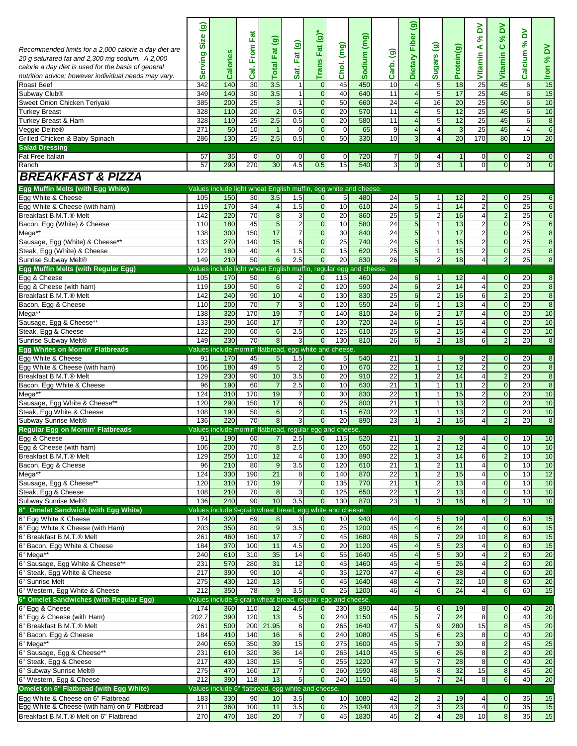| Recommended limits for a 2,000 calorie a day diet are<br>20 g saturated fat and 2,300 mg sodium. A 2,000<br>calorie a day diet is used for the basis of general<br>nutrition advice; however individual needs may vary.<br>Roast Beef | ම<br>Size<br>erving<br>Ō<br>342 | <b>Calories</b><br>140                                             | Fat<br>From<br>ි.<br>30 | $\widehat{\mathbf{e}}$<br><b>Total Fat</b><br>3.5 | Fat (g)<br>Sat.<br>$\overline{1}$ | Trans Fat $(g)$ *<br>$\mathbf 0$ | (mg)<br>Chol.<br>45 | Sodium (mg)<br>450 | $\widehat{\mathbf{e}}$<br>Carb.<br>10 | $\widehat{\mathbf{e}}$<br>Fiber<br><b>Dietary</b><br>$\overline{\mathbf{4}}$ | Sugars (g)<br>5                | Protein(g)<br>18 | δ<br>$\aleph$<br>⋖<br>Vitamin<br>25 | δ<br>వ్<br>ပ<br>Vitamin<br>45    | δ<br>$\infty$<br>Calcium<br>6 | ă<br>$\mathcal{S}^{\mathbf{c}}$<br>$\frac{1}{15}$ |
|---------------------------------------------------------------------------------------------------------------------------------------------------------------------------------------------------------------------------------------|---------------------------------|--------------------------------------------------------------------|-------------------------|---------------------------------------------------|-----------------------------------|----------------------------------|---------------------|--------------------|---------------------------------------|------------------------------------------------------------------------------|--------------------------------|------------------|-------------------------------------|----------------------------------|-------------------------------|---------------------------------------------------|
| Subway Club <sup>®</sup>                                                                                                                                                                                                              | 349                             | 140                                                                | 30                      | 3.5                                               | 1                                 | $\mathbf 0$                      | 40                  | 640                | 11                                    | $\overline{4}$                                                               | $\overline{5}$                 | 17               | 25                                  | 45                               | 6                             | 15                                                |
| Sweet Onion Chicken Teriyaki                                                                                                                                                                                                          | 385                             | 200                                                                | 25                      | 3                                                 | 1                                 | $\mathbf 0$                      | 50                  | 660                | 24                                    | $\overline{4}$                                                               | 16                             | 20               | 25                                  | 50                               | 6                             | 10                                                |
| <b>Turkey Breast</b><br>Turkey Breast & Ham                                                                                                                                                                                           | 328<br>328                      | 110<br>110                                                         | 20<br>25                | $\overline{2}$<br>2.5                             | 0.5<br>0.5                        | $\mathbf 0$<br>$\mathbf 0$       | 20<br>20            | 570<br>580         | 11<br>11                              | $\overline{\mathbf{4}}$<br>$\overline{4}$                                    | 5<br>5                         | 12<br>12         | 25<br>25                            | 45<br>45                         | 6<br>6                        | 10<br>$\infty$                                    |
| Veggie Delite®                                                                                                                                                                                                                        | 271                             | 50                                                                 | 10                      |                                                   | $\mathbf 0$                       | $\pmb{0}$                        | $\mathbf 0$         | 65                 | 9                                     | $\overline{\mathbf{4}}$                                                      | 4                              | 3                | 25                                  | 45                               | 4                             | $6\overline{6}$                                   |
| Grilled Chicken & Baby Spinach                                                                                                                                                                                                        | 286                             | 130                                                                | 25                      | 2.5                                               | 0.5                               | $\mathbf 0$                      | 50                  | 330                | 10                                    | 3                                                                            | $\overline{4}$                 | 20               | 170                                 | 80                               | 10                            | 20                                                |
| <b>Salad Dressing</b>                                                                                                                                                                                                                 |                                 |                                                                    |                         |                                                   |                                   |                                  |                     |                    |                                       |                                                                              |                                |                  |                                     |                                  |                               |                                                   |
| Fat Free Italian                                                                                                                                                                                                                      | 57                              | 35                                                                 | $\overline{0}$          | $\overline{0}$                                    | $\mathbf{0}$                      | $\mathbf 0$                      | 0                   | 720                | 7                                     | 0                                                                            | 4                              |                  | $\overline{0}$                      | $\overline{0}$                   | 2                             | $\overline{0}$                                    |
| Ranch                                                                                                                                                                                                                                 | 57                              | 290                                                                | 270                     | 30                                                | 4.5                               | 0.5                              | 15                  | 540                | 3                                     | $\overline{0}$                                                               | 3                              | $\overline{1}$   | $\overline{0}$                      | $\overline{0}$                   | $\overline{0}$                | $\overline{0}$                                    |
| <b>BREAKFAST &amp; PIZZA</b>                                                                                                                                                                                                          |                                 |                                                                    |                         |                                                   |                                   |                                  |                     |                    |                                       |                                                                              |                                |                  |                                     |                                  |                               |                                                   |
| Egg Muffin Melts (with Egg White)                                                                                                                                                                                                     |                                 | Values include light wheat English muffin, egg white and cheese.   |                         |                                                   |                                   |                                  |                     |                    |                                       |                                                                              |                                |                  |                                     |                                  |                               |                                                   |
| Egg White & Cheese                                                                                                                                                                                                                    | 105                             | 150                                                                | 30                      | 3.5                                               | 1.5                               | $\mathbf 0$                      | 5                   | 480                | 24                                    | $5\phantom{.0}$                                                              | 1                              | 12               | $\overline{2}$                      | $\overline{0}$                   | 25                            | 6                                                 |
| Egg White & Cheese (with ham)                                                                                                                                                                                                         | 119                             | 170                                                                | 34                      | $\overline{4}$                                    | 1.5                               | $\mathbf{0}$                     | 10                  | 610                | 24                                    | $\overline{5}$                                                               | $\mathbf{1}$                   | 14               | 2 <sub>l</sub>                      | $\overline{0}$                   | 25                            | $6\phantom{1}6$                                   |
| Breakfast B.M.T.® Melt                                                                                                                                                                                                                | 142                             | 220                                                                | 70                      | $\boldsymbol{8}$                                  | 3                                 | $\mathbf{0}$                     | 20                  | 860                | 25                                    | $\overline{5}$                                                               | $\boldsymbol{2}$               | 16               | $\overline{4}$                      | $\sqrt{2}$                       | 25                            | $\,6\,$                                           |
| Bacon, Egg (White) & Cheese                                                                                                                                                                                                           | 110                             | 180                                                                | 45                      | $\overline{5}$                                    | $\overline{2}$                    | $\mathbf 0$                      | 10                  | 580                | 24                                    | $\overline{5}$                                                               | $\mathbf{1}$                   | 13               | $\overline{2}$                      | $\overline{0}$                   | 25                            | 6                                                 |
| Mega*                                                                                                                                                                                                                                 | 138                             | 300                                                                | 150                     | 17                                                | $\overline{7}$                    | $\mathbf{0}$                     | 30                  | 840                | $\overline{24}$                       | 5                                                                            | $\mathbf{1}$                   | 17               | $2 \overline{ }$                    | $\overline{0}$                   | $\overline{25}$               | $\overline{8}$                                    |
| Sausage, Egg (White) & Cheese**                                                                                                                                                                                                       | 133                             | 270                                                                | 140                     | 15                                                | 6                                 | $\overline{0}$<br>$\overline{0}$ | 25<br>15            | 740<br>620         | 24<br>25                              | $\sqrt{5}$<br>5                                                              | $\mathbf{1}$                   | 15               | $\overline{a}$                      | $\mathbf 0$<br>$\overline{0}$    | 25                            | $\bf 8$                                           |
| Steak, Egg (White) & Cheese<br>Sunrise Subway Melt®                                                                                                                                                                                   | 122<br>149                      | 180<br>210                                                         | 40<br>50                | $\overline{4}$<br>6                               | 1.5<br>2.5                        | $\mathbf 0$                      | 20                  | 830                | 26                                    | $\overline{5}$                                                               | $\mathbf{1}$<br>$\overline{c}$ | 15<br>18         | $2 \overline{ }$<br>$\overline{4}$  | $\overline{2}$                   | 25<br>25                      | $\infty$<br>8                                     |
| Egg Muffin Melts (with Regular Egg)                                                                                                                                                                                                   |                                 | Values include light wheat English muffin, regular egg and cheese. |                         |                                                   |                                   |                                  |                     |                    |                                       |                                                                              |                                |                  |                                     |                                  |                               |                                                   |
| Egg & Cheese                                                                                                                                                                                                                          | 105                             | 170                                                                | 50                      | $6 \overline{6}$                                  | $\overline{c}$                    | $\overline{0}$                   | 115                 | 460                | 24                                    | $6\phantom{1}$                                                               | 1                              | 12               | $\overline{4}$                      | $\overline{0}$                   | 20                            | 8                                                 |
| Egg & Cheese (with ham)                                                                                                                                                                                                               | 119                             | 190                                                                | 50                      | $6\overline{6}$                                   | $\overline{2}$                    | $\pmb{0}$                        | 120                 | 590                | 24                                    | $6\phantom{1}$                                                               | $\overline{2}$                 | 14               | $\overline{4}$                      | $\overline{0}$                   | 20                            | $\overline{8}$                                    |
| Breakfast B.M.T.® Melt                                                                                                                                                                                                                | 142                             | 240                                                                | 90                      | 10                                                | $\overline{4}$                    | $\mathbf 0$                      | 130                 | 830                | $\overline{25}$                       | 6                                                                            | $\overline{2}$                 | 16               | 6                                   | $\overline{2}$                   | 20                            | $\overline{8}$                                    |
| Bacon, Egg & Cheese                                                                                                                                                                                                                   | 110                             | 200                                                                | 70                      | $\overline{7}$                                    | 3                                 | $\mathbf 0$                      | 120                 | 550                | 24                                    | $6\phantom{a}$                                                               | 1                              | 13               | $\overline{4}$                      | $\mathbf 0$                      | 20                            | $\bf 8$                                           |
| Mega**                                                                                                                                                                                                                                | 138                             | 320                                                                | 170                     | 19                                                | $\overline{7}$                    | $\mathbf 0$                      | 140                 | 810                | 24                                    | $6\phantom{1}6$                                                              | $\overline{2}$                 | 17               | $\overline{4}$                      | $\overline{0}$                   | 20                            | 10                                                |
| Sausage, Egg & Cheese**                                                                                                                                                                                                               | 133                             | 290                                                                | 160                     | 17                                                | $\overline{7}$                    | $\mathbf{0}$                     | 130                 | 720                | 24                                    | $\,6$                                                                        | $\mathbf{1}$                   | 15               | $\overline{4}$                      | $\overline{0}$                   | 20                            | 10                                                |
| Steak, Egg & Cheese                                                                                                                                                                                                                   | 122                             | 200                                                                | 60                      | $\boldsymbol{6}$                                  | 2.5                               | $\mathbf{0}$                     | 125                 | 610                | $\overline{25}$                       | $6\phantom{.}6$                                                              | $\boldsymbol{2}$               | 15               | $\overline{4}$                      | $\pmb{0}$                        | 20                            | 10                                                |
| Sunrise Subway Melt®                                                                                                                                                                                                                  | 149                             | 230                                                                | 70                      | $\infty$                                          | 3                                 | $\mathbf 0$                      | 130                 | 810                | 26                                    | $6\phantom{1}$                                                               | $\overline{2}$                 | 18               | $6 \mid$                            | $\overline{2}$                   | 20                            | $\bf 8$                                           |
| <b>Egg Whites on Mornin' Flatbreads</b><br>Egg White & Cheese                                                                                                                                                                         | 91                              | Values include mornin' flatbread, egg white and cheese.<br>170     | 45                      | $\overline{5}$                                    | 1.5                               | $\overline{0}$                   | 5                   | 540                | 21                                    | $\mathbf{1}$                                                                 | $\mathbf{1}$                   | 9                | $\overline{2}$                      | $\mathbf 0$                      | 20                            | $\boldsymbol{8}$                                  |
| Egg White & Cheese (with ham)                                                                                                                                                                                                         | 106                             | 180                                                                | 49                      | $\overline{5}$                                    | $\overline{2}$                    | $\mathbf 0$                      | 10                  | 670                | 22                                    | $\mathbf{1}$                                                                 | $\mathbf{1}$                   | 12               | 2 <sub>l</sub>                      | $\mathbf 0$                      | 20                            | $\boldsymbol{8}$                                  |
| Breakfast B.M.T.® Melt                                                                                                                                                                                                                | 129                             | 230                                                                | 90                      | 10                                                | 3.5                               | $\mathbf{0}$                     | 20                  | 910                | 22                                    | $\mathbf{1}$                                                                 | $\sqrt{2}$                     | 14               | $\overline{4}$                      | $\overline{2}$                   | 20                            | $\infty$                                          |
| Bacon, Egg White & Cheese                                                                                                                                                                                                             | 96                              | 190                                                                | 60                      | $\overline{7}$                                    | 2.5                               | $\mathbf 0$                      | 10                  | 630                | 21                                    | $\mathbf{1}$                                                                 | $\mathbf{1}$                   | 11               | $\overline{2}$                      | $\pmb{0}$                        | 20                            | $\bf 8$                                           |
| Mega*                                                                                                                                                                                                                                 | 124                             | 310                                                                | 170                     | 19                                                | $\overline{7}$                    | $\mathbf 0$                      | 30                  | 830                | 22                                    | $\overline{1}$                                                               | 1                              | 15               | $\overline{2}$                      | $\overline{0}$                   | 20                            | 10                                                |
| Sausage, Egg White & Cheese**                                                                                                                                                                                                         | 120                             | 290                                                                | 150                     | 17                                                | 6                                 | $\overline{0}$                   | 25                  | 800                | 21                                    | $\mathbf{1}$                                                                 | $\mathbf{1}$                   | 13               | $2 \overline{ }$                    | $\mathbf 0$                      | 20                            | 10                                                |
| Steak, Egg White & Cheese                                                                                                                                                                                                             | 108                             | 190                                                                | 50                      | $6\phantom{a}$                                    | $\overline{c}$                    | $\overline{0}$                   | 15                  | 670                | $\overline{22}$                       | $\mathbf{1}$                                                                 | 1                              | 13               | $\overline{2}$                      | $\mathbf 0$                      | 20                            | 10                                                |
| Subway Sunrise Melt®<br><b>Regular Egg on Mornin' Flatbreads</b>                                                                                                                                                                      | 136                             | 220                                                                | 70                      | $\overline{8}$                                    | 3                                 | $\overline{0}$                   | 20                  | 890                | 23                                    | $\mathbf{1}$                                                                 | $\overline{2}$                 | 16               | 4                                   | $\overline{2}$                   | 20                            | $\overline{8}$                                    |
|                                                                                                                                                                                                                                       | 91                              | Values include mornin' flatbread, regular egg and cheese.          | 190 60                  | $\overline{ }$                                    | 2.5                               | $\overline{0}$                   | 115                 | 520                | 21                                    | $\overline{1}$                                                               | $2\vert$                       | 9                | $\overline{4}$                      | $\overline{0}$                   | 10                            | 10                                                |
| Egg & Cheese<br>Egg & Cheese (with ham)                                                                                                                                                                                               | 106                             | 200                                                                | 70                      | $\infty$                                          | 2.5                               | $\mathbf 0$                      | 120                 | 650                | 22                                    | $\overline{1}$                                                               | $\overline{2}$                 | 12               | $\overline{4}$                      | $\overline{\mathbf{0}}$          | 10                            | 10                                                |
| Breakfast B.M.T.® Melt                                                                                                                                                                                                                | 129                             | 250                                                                | 110                     | 12                                                | 4                                 | $\mathbf{0}$                     | 130                 | 890                | 22                                    | $\mathbf{1}$                                                                 | $\mathbf{3}$                   | 14               | 6                                   | $\overline{c}$                   | 10                            | 10                                                |
| Bacon, Egg & Cheese                                                                                                                                                                                                                   | 96                              | 210                                                                | 80                      | $\overline{9}$                                    | 3.5                               | $\mathbf 0$                      | 120                 | 610                | 21                                    | $\mathbf{1}$                                                                 | $\boldsymbol{2}$               | 11               | $\overline{4}$                      | $\pmb{0}$                        | 10                            | 10                                                |
| Mega**                                                                                                                                                                                                                                | 124                             | 330                                                                | 190                     | 21                                                | 8                                 | $\pmb{0}$                        | 140                 | 870                | 22                                    | $\mathbf{1}$                                                                 | $\boldsymbol{2}$               | 15               | $\overline{4}$                      | $\overline{0}$                   | 10                            | 12                                                |
| Sausage, Egg & Cheese**                                                                                                                                                                                                               | 120                             | 310                                                                | 170                     | 19                                                | $\overline{7}$                    | $\mathbf{0}$                     | 135                 | 770                | 21                                    | $\mathbf{1}$                                                                 | $\overline{2}$                 | 13               | $\overline{4}$                      | $\overline{0}$                   | 10                            | 10                                                |
| Steak, Egg & Cheese                                                                                                                                                                                                                   | 108                             | 210                                                                | 70                      | $\bf 8$                                           | 3                                 | $\mathbf{0}$                     | 125                 | 650                | $\overline{22}$                       | $\mathbf{1}$                                                                 | $\boldsymbol{2}$               | 13               | $\overline{4}$                      | $\pmb{0}$                        | 10                            | 10                                                |
| Subway Sunrise Melt®                                                                                                                                                                                                                  | 136                             | 240<br>Values include 9-grain wheat bread, egg white and cheese.   | 90                      | 10                                                | 3.5                               | $\mathbf{0}$                     | 130                 | 870                | 23                                    | $\mathbf{1}$                                                                 | 3                              | 16               | 6                                   | $\overline{2}$                   | 10                            | 10                                                |
| 6" Omelet Sandwich (with Egg White)<br>6" Egg White & Cheese                                                                                                                                                                          | 174                             | 320                                                                | 69                      | $\bf8$                                            | 3                                 | $\overline{0}$                   | 10                  | 940                | 44                                    | $\overline{4}$                                                               | 5                              | 19               | $\overline{4}$                      | $\overline{0}$                   | 60                            | 15                                                |
| 6" Egg White & Cheese (with Ham)                                                                                                                                                                                                      | 203                             | 350                                                                | 80                      | $\boldsymbol{9}$                                  | $\overline{3.5}$                  | $\mathbf 0$                      | 25                  | 1200               | 45                                    | $\overline{4}$                                                               | 6                              | 24               | $\overline{4}$                      | $\overline{0}$                   | 60                            | 15                                                |
| 6" Breakfast B.M.T.® Melt                                                                                                                                                                                                             | 261                             | 460                                                                | 160                     | 17                                                | 7                                 | $\mathbf 0$                      | 45                  | 1680               | 48                                    | $\overline{5}$                                                               | $\overline{7}$                 | 29               | 10                                  | $\bf 8$                          | 60                            | 15                                                |
| 6" Bacon, Egg White & Cheese                                                                                                                                                                                                          | 184                             | 370                                                                | 100                     | 11                                                | 4.5                               | $\mathbf 0$                      | 20                  | 1120               | 45                                    | $\overline{4}$                                                               | $\overline{5}$                 | 23               |                                     | $\overline{0}$                   | 60                            | 15                                                |
| 6" Mega**                                                                                                                                                                                                                             | 240                             | 610                                                                | 310                     | 35                                                | 14                                | $\pmb{0}$                        | 55                  | 1640               | 45                                    | $\overline{\mathbf{4}}$                                                      | $\sqrt{5}$                     | 30               | $\overline{4}$                      | $\sqrt{2}$                       | 60                            | 20                                                |
| 6" Sausage, Egg White & Cheese**                                                                                                                                                                                                      | 231                             | 570                                                                | 280                     | 31                                                | $\overline{12}$                   | $\mathbf{O}$                     | 45                  | 1460               | 45                                    | $\overline{4}$                                                               | $\overline{5}$                 | $\overline{26}$  | $\overline{4}$                      | $\overline{c}$                   | 60                            | 20                                                |
| 6" Steak, Egg White & Cheese                                                                                                                                                                                                          | 217                             | 390                                                                | 90                      | 10                                                | $\overline{4}$                    | $\overline{0}$                   | 35                  | 1270               | 47                                    | $\overline{\mathbf{4}}$                                                      | 6                              | 28               | $\overline{4}$                      | $\overline{0}$                   | 60                            | 20                                                |
| 6" Sunrise Melt                                                                                                                                                                                                                       | $\overline{275}$                | 430                                                                | 120                     | 13                                                | 5                                 | $\mathbf{0}$                     | 45                  | 1640               | 48                                    | $\overline{\mathbf{4}}$                                                      | $\boldsymbol{7}$               | 32               | 10                                  | $\bf 8$                          | 60                            | 20                                                |
| 6" Western, Egg White & Cheese                                                                                                                                                                                                        | $\overline{212}$                | 350                                                                | 78                      | $\overline{9}$                                    | 3.5                               | $\pmb{0}$                        | $\overline{25}$     | 1200               | 46                                    | $\overline{4}$                                                               | 6                              | $\overline{24}$  | $\overline{4}$                      | $\boldsymbol{6}$                 | 60                            | 15                                                |
| 6" Omelet Sandwiches (with Regular Egg)<br>6" Egg & Cheese                                                                                                                                                                            | 174                             | Values include 9-grain wheat bread, regular egg and cheese<br>360  | 110                     | 12                                                | 4.5                               | $\mathbf 0$                      | 230                 | 890                | 44                                    | $\overline{5}$                                                               | 6                              | 19               | 8                                   | $\mathbf 0$                      | 40                            | 20                                                |
| 6" Egg & Cheese (with Ham)                                                                                                                                                                                                            | 202.7                           | 390                                                                | 120                     | 13                                                | 5                                 | $\pmb{0}$                        | 240                 | 1150               | 45                                    | 5                                                                            | $\overline{7}$                 | $\overline{24}$  | 8                                   | $\overline{\mathbf{0}}$          | 40                            | 20                                                |
| 6" Breakfast B.M.T.® Melt                                                                                                                                                                                                             | 261                             | 500                                                                | 200                     | 21.95                                             | 8                                 | $\pmb{0}$                        | 265                 | 1640               | 47                                    | $\overline{5}$                                                               | $\boldsymbol{9}$               | 280              | 15                                  | $\bf 8$                          | 45                            | 20                                                |
| 6" Bacon, Egg & Cheese                                                                                                                                                                                                                | 184                             | 410                                                                | 140                     | 16                                                | 6                                 | $\mathbf 0$                      | 240                 | 1080               | 45                                    | 5                                                                            | 6                              | 23               | 8                                   | $\overline{0}$                   | 40                            | 20                                                |
| 6" Mega**                                                                                                                                                                                                                             | 240                             | 650                                                                | 350                     | 39                                                | 15                                | $\pmb{0}$                        | 275                 | 1600               | 45                                    | 5                                                                            | $\overline{7}$                 | 30               | 8                                   | $\overline{2}$                   | 45                            | 25                                                |
| 6" Sausage, Egg & Cheese**                                                                                                                                                                                                            | 231                             | 610                                                                | 320                     | 36                                                | 14                                | $\mathbf{0}$                     | 265                 | 1410               | 45                                    | $\overline{5}$                                                               | 6                              | 26               | 8                                   | $\sqrt{2}$                       | 40                            | 20                                                |
| 6" Steak, Egg & Cheese                                                                                                                                                                                                                | $\overline{217}$                | 430                                                                | 130                     | 15                                                | $5\phantom{.0}$                   | $\bf 0$                          | 255                 | 1220               | 47                                    | $\overline{5}$                                                               | $\overline{7}$                 | $\overline{28}$  | 8                                   | $\pmb{0}$                        | 40                            | 20                                                |
| 6" Subway Sunrise Melt®                                                                                                                                                                                                               | $\overline{275}$                | 470                                                                | 160                     | 17                                                | $\overline{7}$                    | $\pmb{0}$                        | 260                 | 1590               | 48                                    | 5                                                                            | 8                              | 32               | 15                                  | $\bf 8$                          | 45                            | 20                                                |
| 6" Western, Egg & Cheese                                                                                                                                                                                                              | 212                             | 390                                                                | 118                     | 13                                                | 5 <sub>l</sub>                    | $\mathbf 0$                      | 240                 | 1150               | 46                                    | 5                                                                            | $\overline{7}$                 | 24               | 8 <sup>1</sup>                      | $\overline{6}$                   | 40                            | 20                                                |
| Omelet on 6" Flatbread (with Egg White)                                                                                                                                                                                               |                                 | Values include 6" flatbread, egg white and cheese.                 |                         |                                                   |                                   |                                  |                     |                    |                                       |                                                                              |                                |                  |                                     |                                  |                               |                                                   |
| Egg White & Cheese on 6" Flatbread<br>Egg White & Cheese (with ham) on 6" Flatbread                                                                                                                                                   | 183<br>211                      | 330<br>360                                                         | 90<br>100               | 10<br>11                                          | 3.5<br>3.5                        | $\overline{0}$<br>$\pmb{0}$      | 10<br>25            | 1080<br>1340       | 42<br>43                              | $\overline{2}$<br>$\overline{2}$                                             | $\overline{2}$<br>ω            | 19<br>23         | $\overline{4}$<br>$\overline{4}$    | $\overline{0}$<br>$\overline{0}$ | 35<br>35                      | 15<br>15                                          |
| Breakfast B.M.T.® Melt on 6" Flatbread                                                                                                                                                                                                | 270                             | 470                                                                | 180                     | 20                                                | $\overline{7}$                    | $\mathbf 0$                      | 45                  | 1830               | 45                                    | $\overline{2}$                                                               | $\overline{\mathbf{4}}$        | 28               | 10                                  | $\bf 8$                          | 35                            | 15                                                |
|                                                                                                                                                                                                                                       |                                 |                                                                    |                         |                                                   |                                   |                                  |                     |                    |                                       |                                                                              |                                |                  |                                     |                                  |                               |                                                   |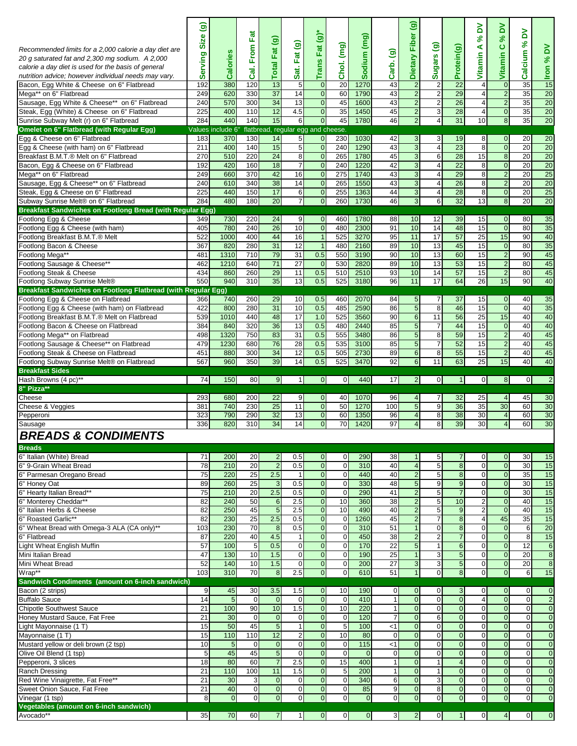| Recommended limits for a 2,000 calorie a day diet are<br>20 g saturated fat and 2,300 mg sodium. A 2,000<br>calorie a day diet is used for the basis of general<br>nutrition advice; however individual needs may vary.<br>Bacon, Egg White & Cheese on 6" Flatbread<br>Mega** on 6" Flatbread<br>Sausage, Egg White & Cheese** on 6" Flatbread<br>Steak, Egg (White) & Cheese on 6" Flatbread<br>Sunrise Subway Melt (r) on 6" Flatbread<br>Omelet on 6" Flatbread (with Regular Egg)<br>Egg & Cheese on 6" Flatbread<br>Egg & Cheese (with ham) on 6" Flatbread<br>Breakfast B.M.T.® Melt on 6" Flatbread<br>Bacon, Egg & Cheese on 6" Flatbread<br>Mega** on 6" Flatbread<br>Sausage, Egg & Cheese** on 6" Flatbread<br>Steak, Egg & Cheese on 6" Flatbread<br>Subway Sunrise Melt® on 6" Flatbread<br>Breakfast Sandwiches on Footlong Bread (with Regular Egg)<br>Footlong Egg & Cheese<br>Footlong Egg & Cheese (with ham)<br>Footlong Breakfast B.M.T.® Melt<br>Footlong Bacon & Cheese<br>Footlong Mega**<br>Footlong Sausage & Cheese**<br>Footlong Steak & Cheese<br>Footlong Subway Sunrise Melt®<br>Breakfast Sandwiches on Footlong Flatbread (with Regular Egg)<br>Footlong Egg & Cheese on Flatbread<br>Footlong Egg & Cheese (with ham) on Flatbread | ම<br>Size<br>erving<br>ဖာ<br>192<br>249<br>240<br>225<br>284<br>183<br>211<br>270<br>192<br>249<br>240<br>225<br>284<br>349<br>405<br>522<br>367<br>481<br>462<br>434<br>550<br>366<br>422 | Calories<br>380<br>620<br>570<br>400<br>440<br>Values include 6"<br>370<br>400<br>510<br>420<br>660<br>610<br>440<br>480<br>730<br>780<br>1000<br>820<br>1310<br>1210<br>860<br>940<br>740<br>800 | Fat<br>Cal. From<br>120<br>330<br>300<br>110<br>140<br>130<br>140<br>220<br>160<br>370<br>340<br>150<br>180<br>220<br>240<br>400<br>280<br>710<br>640<br>260<br>310<br>260<br>280 | $\widehat{\mathbf{e}}$<br><b>Total Fat</b><br>13<br>37<br>34<br>12<br>15<br>14<br>15<br>24<br>18<br>42<br>38<br>17<br>$\overline{20}$<br>24<br>$\overline{26}$<br>44<br>31<br>79<br>71<br>29<br>35<br>29<br>31 | Fat (g)<br>Sat.<br>5<br>14<br>13<br>4.5<br>6<br>5<br>5<br>8<br>$\overline{7}$<br>16<br>14<br>6<br>$\overline{7}$<br>9<br>10<br>16<br>12<br>31<br>$\overline{27}$<br>11<br>13<br>10<br>10 | Trans Fat $(g)$ *<br>$\mathbf{0}$<br>$\pmb{0}$<br>$\mathbf 0$<br>$\mathbf{0}$<br>$\pmb{0}$<br>flatbread, regular egg and cheese.<br>$\mathbf 0$<br>$\mathbf 0$<br>$\mathbf 0$<br>$\mathbf{0}$<br>$\mathbf{0}$<br>$\mathbf 0$<br>$\mathbf{0}$<br>$\mathbf 0$<br>$\mathbf{0}$<br>$\overline{0}$<br>$\overline{1}$<br>$\overline{1}$<br>0.5<br>$\mathbf 0$<br>0.5<br>0.5<br>0.5<br>0.5 | (mg)<br>Chol.<br>20<br>60<br>45<br>35<br>45<br>230<br>240<br>265<br>240<br>275<br>265<br>255<br>260<br>460<br>480<br>525<br>480<br>550<br>530<br>510<br>525<br>460<br>485 | Sodium (mg)<br>1270<br>1790<br>1600<br>1450<br>1780<br>1030<br>1290<br>1780<br>1220<br>1740<br>1550<br>1363<br>1730<br>1780<br>2300<br>3270<br>2160<br>3190<br>2820<br>2510<br>3180<br>2070<br>2590 | $\widehat{\mathbf{e}}$<br>Carb.<br>43<br>43<br>43<br>45<br>46<br>42<br>43<br>45<br>42<br>43<br>43<br>44<br>46<br>88<br>91<br>95<br>89<br>90<br>89<br>93<br>96<br>84<br>86 | ම<br>Dietary Fiber<br>$\overline{c}$<br>$\overline{\mathbf{c}}$<br>$\overline{2}$<br>$\overline{2}$<br>$\overline{2}$<br>3<br>3<br>3<br>$\overline{3}$<br>3<br>3<br>$\overline{3}$<br>3<br>10<br>10<br>11<br>10<br>10<br>10<br>10<br>11<br>5<br>5 | ම<br>Sugars<br>$\overline{\mathbf{c}}$<br>$\sqrt{2}$<br>$\overline{2}$<br>$\sqrt{3}$<br>$\overline{4}$<br>3<br>$\overline{4}$<br>6<br>$\overline{4}$<br>4<br>$\overline{4}$<br>$\overline{4}$<br>6<br>12<br>14<br>17<br>13<br>13<br>13<br>14<br>17<br>$\overline{7}$<br>8 | Protein(g)<br>22<br>29<br>26<br>28<br>31<br>19<br>23<br>28<br>$\overline{22}$<br>29<br>26<br>28<br>32<br>39<br>48<br>57<br>45<br>60<br>53<br>57<br>64<br>37<br>46 | ≧<br>వ్<br>⋖<br>Vitamin<br>4<br>4<br>4<br>4<br>10<br>8<br>8<br>15<br>8<br>8<br>8<br>8<br>13<br>15<br>15<br>25<br>15<br>15<br>15<br>15<br>26<br>15<br>15 | % DV<br>$\mathbf{o}$<br>Vitamin<br>$\mathbf 0$<br>$\overline{\mathbf{c}}$<br>$\overline{2}$<br>$\overline{0}$<br>$\bf 8$<br>$\mathbf 0$<br>$\overline{0}$<br>$\overline{8}$<br>$\overline{0}$<br>$\overline{2}$<br>$\overline{\mathbf{c}}$<br>$\overline{0}$<br>8<br>$\mathbf 0$<br>$\overline{0}$<br>15<br>$\mathbf 0$<br>$\overline{c}$<br>$\overline{\mathbf{c}}$<br>$\overline{2}$<br>15<br>$\mathbf 0$<br>$\overline{0}$ | λ<br>వ్<br>Calcium<br>35<br>35<br>35<br>35<br>35<br>20<br>20<br>20<br>20<br>20<br>20<br>20<br>20<br>80<br>80<br>90<br>80<br>90<br>80<br>80<br>90<br>40<br>40 | %DV<br><u>Iron</u><br>15<br>20<br>$\overline{20}$<br>20<br>$\overline{20}$<br>20<br>20<br>$\overline{20}$<br>$\overline{20}$<br>$\overline{25}$<br>$\overline{20}$<br>25<br>20<br>35<br>35<br>40<br>35<br>45<br>45<br>45<br>40<br>35<br>35 |
|----------------------------------------------------------------------------------------------------------------------------------------------------------------------------------------------------------------------------------------------------------------------------------------------------------------------------------------------------------------------------------------------------------------------------------------------------------------------------------------------------------------------------------------------------------------------------------------------------------------------------------------------------------------------------------------------------------------------------------------------------------------------------------------------------------------------------------------------------------------------------------------------------------------------------------------------------------------------------------------------------------------------------------------------------------------------------------------------------------------------------------------------------------------------------------------------------------------------------------------------------------------------|--------------------------------------------------------------------------------------------------------------------------------------------------------------------------------------------|---------------------------------------------------------------------------------------------------------------------------------------------------------------------------------------------------|-----------------------------------------------------------------------------------------------------------------------------------------------------------------------------------|----------------------------------------------------------------------------------------------------------------------------------------------------------------------------------------------------------------|------------------------------------------------------------------------------------------------------------------------------------------------------------------------------------------|-------------------------------------------------------------------------------------------------------------------------------------------------------------------------------------------------------------------------------------------------------------------------------------------------------------------------------------------------------------------------------------|---------------------------------------------------------------------------------------------------------------------------------------------------------------------------|-----------------------------------------------------------------------------------------------------------------------------------------------------------------------------------------------------|---------------------------------------------------------------------------------------------------------------------------------------------------------------------------|---------------------------------------------------------------------------------------------------------------------------------------------------------------------------------------------------------------------------------------------------|---------------------------------------------------------------------------------------------------------------------------------------------------------------------------------------------------------------------------------------------------------------------------|-------------------------------------------------------------------------------------------------------------------------------------------------------------------|---------------------------------------------------------------------------------------------------------------------------------------------------------|-------------------------------------------------------------------------------------------------------------------------------------------------------------------------------------------------------------------------------------------------------------------------------------------------------------------------------------------------------------------------------------------------------------------------------|--------------------------------------------------------------------------------------------------------------------------------------------------------------|--------------------------------------------------------------------------------------------------------------------------------------------------------------------------------------------------------------------------------------------|
| Footlong Breakfast B.M.T.® Melt on Flatbread<br>Footlong Bacon & Cheese on Flatbread                                                                                                                                                                                                                                                                                                                                                                                                                                                                                                                                                                                                                                                                                                                                                                                                                                                                                                                                                                                                                                                                                                                                                                                 | 539<br>384                                                                                                                                                                                 | 1010<br>840                                                                                                                                                                                       | 440<br>320                                                                                                                                                                        | 48<br>36                                                                                                                                                                                                       | 17<br>13                                                                                                                                                                                 | 1.0<br>0.5                                                                                                                                                                                                                                                                                                                                                                          | 525<br>480                                                                                                                                                                | 3560<br>2440                                                                                                                                                                                        | 90<br>85                                                                                                                                                                  | $6\phantom{1}6$<br>$\overline{5}$                                                                                                                                                                                                                 | 11<br>$\overline{7}$                                                                                                                                                                                                                                                      | 56<br>44                                                                                                                                                          | $\overline{25}$<br>15                                                                                                                                   | 15<br>$\mathbf 0$                                                                                                                                                                                                                                                                                                                                                                                                             | 40<br>40                                                                                                                                                     | 40<br>40                                                                                                                                                                                                                                   |
| Footlong Mega** on Flatbread<br>Footlong Sausage & Cheese** on Flatbread                                                                                                                                                                                                                                                                                                                                                                                                                                                                                                                                                                                                                                                                                                                                                                                                                                                                                                                                                                                                                                                                                                                                                                                             | 498<br>479                                                                                                                                                                                 | 1320<br>1230                                                                                                                                                                                      | 750<br>680                                                                                                                                                                        | 83<br>76                                                                                                                                                                                                       | 31<br>28                                                                                                                                                                                 | 0.5<br>0.5                                                                                                                                                                                                                                                                                                                                                                          | 555<br>535                                                                                                                                                                | 3480<br>3100                                                                                                                                                                                        | 86<br>85                                                                                                                                                                  | $\overline{5}$<br>5                                                                                                                                                                                                                               | 8<br>$\overline{7}$                                                                                                                                                                                                                                                       | 59<br>52                                                                                                                                                          | 15<br>15                                                                                                                                                | $\overline{2}$<br>$\overline{\mathbf{c}}$                                                                                                                                                                                                                                                                                                                                                                                     | 40<br>40                                                                                                                                                     | 45<br>45                                                                                                                                                                                                                                   |
| Footlong Steak & Cheese on Flatbread<br>Footlong Subway Sunrise Melt® on Flatbread                                                                                                                                                                                                                                                                                                                                                                                                                                                                                                                                                                                                                                                                                                                                                                                                                                                                                                                                                                                                                                                                                                                                                                                   | 451<br>567                                                                                                                                                                                 | 880<br>960                                                                                                                                                                                        | 300<br>350                                                                                                                                                                        | 34<br>39                                                                                                                                                                                                       | 12<br>14                                                                                                                                                                                 | 0.5<br>0.5                                                                                                                                                                                                                                                                                                                                                                          | 505<br>525                                                                                                                                                                | 2730<br>3470                                                                                                                                                                                        | 89<br>92                                                                                                                                                                  | $\overline{6}$<br>$\overline{6}$                                                                                                                                                                                                                  | 8<br>11                                                                                                                                                                                                                                                                   | 55<br>63                                                                                                                                                          | 15<br>25                                                                                                                                                | $\overline{\mathbf{c}}$<br>15                                                                                                                                                                                                                                                                                                                                                                                                 | 40<br>40                                                                                                                                                     | 45<br>40                                                                                                                                                                                                                                   |
| <b>Breakfast Sides</b>                                                                                                                                                                                                                                                                                                                                                                                                                                                                                                                                                                                                                                                                                                                                                                                                                                                                                                                                                                                                                                                                                                                                                                                                                                               |                                                                                                                                                                                            |                                                                                                                                                                                                   |                                                                                                                                                                                   |                                                                                                                                                                                                                |                                                                                                                                                                                          |                                                                                                                                                                                                                                                                                                                                                                                     |                                                                                                                                                                           |                                                                                                                                                                                                     |                                                                                                                                                                           |                                                                                                                                                                                                                                                   |                                                                                                                                                                                                                                                                           |                                                                                                                                                                   |                                                                                                                                                         |                                                                                                                                                                                                                                                                                                                                                                                                                               |                                                                                                                                                              |                                                                                                                                                                                                                                            |
|                                                                                                                                                                                                                                                                                                                                                                                                                                                                                                                                                                                                                                                                                                                                                                                                                                                                                                                                                                                                                                                                                                                                                                                                                                                                      | 74                                                                                                                                                                                         | 150                                                                                                                                                                                               | 80                                                                                                                                                                                | 9                                                                                                                                                                                                              | $\vert$                                                                                                                                                                                  | $\mathbf 0$                                                                                                                                                                                                                                                                                                                                                                         | $\mathbf 0$                                                                                                                                                               | 440                                                                                                                                                                                                 | 17                                                                                                                                                                        | $\overline{2}$                                                                                                                                                                                                                                    | $\mathbf{0}$                                                                                                                                                                                                                                                              | $\mathbf{1}$                                                                                                                                                      | $\overline{0}$                                                                                                                                          | $\bf{8}$                                                                                                                                                                                                                                                                                                                                                                                                                      | $\overline{0}$                                                                                                                                               | $\overline{2}$                                                                                                                                                                                                                             |
| Hash Browns (4 pc)**                                                                                                                                                                                                                                                                                                                                                                                                                                                                                                                                                                                                                                                                                                                                                                                                                                                                                                                                                                                                                                                                                                                                                                                                                                                 |                                                                                                                                                                                            |                                                                                                                                                                                                   |                                                                                                                                                                                   |                                                                                                                                                                                                                |                                                                                                                                                                                          |                                                                                                                                                                                                                                                                                                                                                                                     |                                                                                                                                                                           |                                                                                                                                                                                                     |                                                                                                                                                                           |                                                                                                                                                                                                                                                   |                                                                                                                                                                                                                                                                           |                                                                                                                                                                   |                                                                                                                                                         |                                                                                                                                                                                                                                                                                                                                                                                                                               |                                                                                                                                                              |                                                                                                                                                                                                                                            |
| 8" Pizza**<br>Cheese                                                                                                                                                                                                                                                                                                                                                                                                                                                                                                                                                                                                                                                                                                                                                                                                                                                                                                                                                                                                                                                                                                                                                                                                                                                 | 293                                                                                                                                                                                        | 680                                                                                                                                                                                               | 200                                                                                                                                                                               | 22                                                                                                                                                                                                             | 9                                                                                                                                                                                        | $\mathbf 0$                                                                                                                                                                                                                                                                                                                                                                         | 40                                                                                                                                                                        | 1070                                                                                                                                                                                                | 96                                                                                                                                                                        | $\overline{4}$                                                                                                                                                                                                                                    | $\overline{7}$                                                                                                                                                                                                                                                            | 32                                                                                                                                                                | 25                                                                                                                                                      | $\overline{4}$                                                                                                                                                                                                                                                                                                                                                                                                                | 45                                                                                                                                                           | 30                                                                                                                                                                                                                                         |
| Cheese & Veggies                                                                                                                                                                                                                                                                                                                                                                                                                                                                                                                                                                                                                                                                                                                                                                                                                                                                                                                                                                                                                                                                                                                                                                                                                                                     | 381                                                                                                                                                                                        | 740                                                                                                                                                                                               | 230                                                                                                                                                                               | $\overline{25}$                                                                                                                                                                                                | 11                                                                                                                                                                                       | $\overline{0}$                                                                                                                                                                                                                                                                                                                                                                      | 50                                                                                                                                                                        | 1270                                                                                                                                                                                                | 100                                                                                                                                                                       | $\overline{5}$                                                                                                                                                                                                                                    | $9\,$                                                                                                                                                                                                                                                                     | 36                                                                                                                                                                | 35                                                                                                                                                      | 30                                                                                                                                                                                                                                                                                                                                                                                                                            | 60                                                                                                                                                           | $\overline{30}$                                                                                                                                                                                                                            |
| Pepperoni<br>Sausage                                                                                                                                                                                                                                                                                                                                                                                                                                                                                                                                                                                                                                                                                                                                                                                                                                                                                                                                                                                                                                                                                                                                                                                                                                                 | 323<br>336                                                                                                                                                                                 | 790<br>820                                                                                                                                                                                        | 290<br>310                                                                                                                                                                        | 32<br>34                                                                                                                                                                                                       | 13<br>14                                                                                                                                                                                 | $\mathbf{0}$<br>$\overline{0}$                                                                                                                                                                                                                                                                                                                                                      | 60<br>70                                                                                                                                                                  | 1350<br>1420                                                                                                                                                                                        | 96<br>97                                                                                                                                                                  | $\overline{4}$<br>$\overline{4}$                                                                                                                                                                                                                  | 8<br>8                                                                                                                                                                                                                                                                    | 38<br>39                                                                                                                                                          | 30<br>30                                                                                                                                                | 4<br>$\overline{4}$                                                                                                                                                                                                                                                                                                                                                                                                           | 60<br>60                                                                                                                                                     | 30<br>30                                                                                                                                                                                                                                   |
|                                                                                                                                                                                                                                                                                                                                                                                                                                                                                                                                                                                                                                                                                                                                                                                                                                                                                                                                                                                                                                                                                                                                                                                                                                                                      |                                                                                                                                                                                            |                                                                                                                                                                                                   |                                                                                                                                                                                   |                                                                                                                                                                                                                |                                                                                                                                                                                          |                                                                                                                                                                                                                                                                                                                                                                                     |                                                                                                                                                                           |                                                                                                                                                                                                     |                                                                                                                                                                           |                                                                                                                                                                                                                                                   |                                                                                                                                                                                                                                                                           |                                                                                                                                                                   |                                                                                                                                                         |                                                                                                                                                                                                                                                                                                                                                                                                                               |                                                                                                                                                              |                                                                                                                                                                                                                                            |
| <b>BREADS &amp; CONDIMENTS</b><br><b>Breads</b>                                                                                                                                                                                                                                                                                                                                                                                                                                                                                                                                                                                                                                                                                                                                                                                                                                                                                                                                                                                                                                                                                                                                                                                                                      |                                                                                                                                                                                            |                                                                                                                                                                                                   |                                                                                                                                                                                   |                                                                                                                                                                                                                |                                                                                                                                                                                          |                                                                                                                                                                                                                                                                                                                                                                                     |                                                                                                                                                                           |                                                                                                                                                                                                     |                                                                                                                                                                           |                                                                                                                                                                                                                                                   |                                                                                                                                                                                                                                                                           |                                                                                                                                                                   |                                                                                                                                                         |                                                                                                                                                                                                                                                                                                                                                                                                                               |                                                                                                                                                              |                                                                                                                                                                                                                                            |
| 6" Italian (White) Bread                                                                                                                                                                                                                                                                                                                                                                                                                                                                                                                                                                                                                                                                                                                                                                                                                                                                                                                                                                                                                                                                                                                                                                                                                                             | 71                                                                                                                                                                                         | 200                                                                                                                                                                                               | 20                                                                                                                                                                                | $\overline{2}$                                                                                                                                                                                                 | 0.5                                                                                                                                                                                      | $\mathbf 0$                                                                                                                                                                                                                                                                                                                                                                         | $\mathbf 0$                                                                                                                                                               | 290                                                                                                                                                                                                 | 38                                                                                                                                                                        |                                                                                                                                                                                                                                                   | 5                                                                                                                                                                                                                                                                         | $\overline{7}$                                                                                                                                                    | $\mathbf 0$                                                                                                                                             | $\mathbf{0}$                                                                                                                                                                                                                                                                                                                                                                                                                  | 30                                                                                                                                                           | 15                                                                                                                                                                                                                                         |
| 6" 9-Grain Wheat Bread<br>6" Parmesan Oregano Bread                                                                                                                                                                                                                                                                                                                                                                                                                                                                                                                                                                                                                                                                                                                                                                                                                                                                                                                                                                                                                                                                                                                                                                                                                  | 78<br>75                                                                                                                                                                                   | 210<br>220                                                                                                                                                                                        | 20<br>25                                                                                                                                                                          | $\overline{2}$<br>2.5                                                                                                                                                                                          | 0.5<br>$\mathbf{1}$                                                                                                                                                                      | $\bf 0$<br>$\mathbf{0}$                                                                                                                                                                                                                                                                                                                                                             | $\mathbf 0$<br>$\mathbf 0$                                                                                                                                                | 310<br>440                                                                                                                                                                                          | 40<br>40                                                                                                                                                                  | $\overline{a}$<br>$\overline{\mathbf{c}}$                                                                                                                                                                                                         | 5<br>$\overline{5}$                                                                                                                                                                                                                                                       | 8<br>8 <sup>1</sup>                                                                                                                                               | $\mathbf 0$<br>$\mathbf 0$                                                                                                                              | $\pmb{0}$<br>$\overline{\mathbf{0}}$                                                                                                                                                                                                                                                                                                                                                                                          | 30<br>35                                                                                                                                                     | 15<br>15                                                                                                                                                                                                                                   |
| 6" Honey Oat                                                                                                                                                                                                                                                                                                                                                                                                                                                                                                                                                                                                                                                                                                                                                                                                                                                                                                                                                                                                                                                                                                                                                                                                                                                         | 89                                                                                                                                                                                         | 260                                                                                                                                                                                               | 25                                                                                                                                                                                | $\mathbf{3}$                                                                                                                                                                                                   | 0.5                                                                                                                                                                                      | $\pmb{0}$                                                                                                                                                                                                                                                                                                                                                                           | $\boldsymbol{0}$                                                                                                                                                          | 330                                                                                                                                                                                                 | 48                                                                                                                                                                        | $\sqrt{5}$                                                                                                                                                                                                                                        | 9                                                                                                                                                                                                                                                                         | 9                                                                                                                                                                 | $\mathbf{0}$                                                                                                                                            | $\overline{0}$                                                                                                                                                                                                                                                                                                                                                                                                                | 30                                                                                                                                                           | 15                                                                                                                                                                                                                                         |
| 6" Hearty Italian Bread**                                                                                                                                                                                                                                                                                                                                                                                                                                                                                                                                                                                                                                                                                                                                                                                                                                                                                                                                                                                                                                                                                                                                                                                                                                            | 75                                                                                                                                                                                         | 210                                                                                                                                                                                               | 20                                                                                                                                                                                | 2.5                                                                                                                                                                                                            | 0.5                                                                                                                                                                                      | $\pmb{0}$                                                                                                                                                                                                                                                                                                                                                                           | $\mathbf 0$                                                                                                                                                               | 290<br>360                                                                                                                                                                                          | 41                                                                                                                                                                        | $\overline{2}$                                                                                                                                                                                                                                    | $\overline{5}$                                                                                                                                                                                                                                                            | $\overline{7}$                                                                                                                                                    | $\mathbf 0$                                                                                                                                             | $\overline{0}$                                                                                                                                                                                                                                                                                                                                                                                                                | 30                                                                                                                                                           | 15                                                                                                                                                                                                                                         |
| 6" Monterey Cheddar**<br>6" Italian Herbs & Cheese                                                                                                                                                                                                                                                                                                                                                                                                                                                                                                                                                                                                                                                                                                                                                                                                                                                                                                                                                                                                                                                                                                                                                                                                                   | 82<br>82                                                                                                                                                                                   | 240<br>250                                                                                                                                                                                        | 50<br>45                                                                                                                                                                          | 6<br>$5\overline{5}$                                                                                                                                                                                           | 2.5<br>2.5                                                                                                                                                                               | $\overline{0}$<br>$\mathbf{0}$                                                                                                                                                                                                                                                                                                                                                      | 10<br>10                                                                                                                                                                  | 490                                                                                                                                                                                                 | 38<br>40                                                                                                                                                                  | $\overline{2}$<br>$\overline{2}$                                                                                                                                                                                                                  | $\overline{5}$<br>$\overline{5}$                                                                                                                                                                                                                                          | 10<br>9                                                                                                                                                           | $\overline{c}$<br>$\sqrt{2}$                                                                                                                            | $\overline{0}$<br>$\mathbf 0$                                                                                                                                                                                                                                                                                                                                                                                                 | 40<br>40                                                                                                                                                     | 15<br>15                                                                                                                                                                                                                                   |
| 6" Roasted Garlic**                                                                                                                                                                                                                                                                                                                                                                                                                                                                                                                                                                                                                                                                                                                                                                                                                                                                                                                                                                                                                                                                                                                                                                                                                                                  | 82                                                                                                                                                                                         | 230                                                                                                                                                                                               | 25                                                                                                                                                                                | 2.5                                                                                                                                                                                                            | 0.5                                                                                                                                                                                      | $\pmb{0}$                                                                                                                                                                                                                                                                                                                                                                           | $\mathbf 0$                                                                                                                                                               | 1260                                                                                                                                                                                                | 45                                                                                                                                                                        | $\overline{\mathbf{c}}$                                                                                                                                                                                                                           | $\boldsymbol{7}$                                                                                                                                                                                                                                                          | 8                                                                                                                                                                 | 4                                                                                                                                                       | 45                                                                                                                                                                                                                                                                                                                                                                                                                            | 35                                                                                                                                                           | 15                                                                                                                                                                                                                                         |
| 6" Wheat Bread with Omega-3 ALA (CA only)**<br>6" Flatbread                                                                                                                                                                                                                                                                                                                                                                                                                                                                                                                                                                                                                                                                                                                                                                                                                                                                                                                                                                                                                                                                                                                                                                                                          | 103<br>87                                                                                                                                                                                  | 230<br>220                                                                                                                                                                                        | 70<br>40                                                                                                                                                                          | 8<br>4.5                                                                                                                                                                                                       | 0.5<br>$\vert$                                                                                                                                                                           | $\overline{0}$<br>$\overline{0}$                                                                                                                                                                                                                                                                                                                                                    | $\pmb{0}$<br>$\mathbf 0$                                                                                                                                                  | 310<br>450                                                                                                                                                                                          | 51<br>38                                                                                                                                                                  | $\mathbf{1}$                                                                                                                                                                                                                                      | $\mathbf 0$                                                                                                                                                                                                                                                               | 8 <sup>1</sup><br>$\overline{7}$                                                                                                                                  | $\mathbf 0$<br>$\mathbf 0$                                                                                                                              | $\pmb{0}$<br>$\overline{0}$                                                                                                                                                                                                                                                                                                                                                                                                   | $6\phantom{.}6$<br>8                                                                                                                                         | 20<br>15                                                                                                                                                                                                                                   |
| Light Wheat English Muffin                                                                                                                                                                                                                                                                                                                                                                                                                                                                                                                                                                                                                                                                                                                                                                                                                                                                                                                                                                                                                                                                                                                                                                                                                                           | 57                                                                                                                                                                                         | 100                                                                                                                                                                                               | 5                                                                                                                                                                                 | 0.5                                                                                                                                                                                                            | $\mathbf 0$                                                                                                                                                                              | $\pmb{0}$                                                                                                                                                                                                                                                                                                                                                                           | $\pmb{0}$                                                                                                                                                                 | 170                                                                                                                                                                                                 | 22                                                                                                                                                                        | $\overline{2}$<br>$\sqrt{5}$                                                                                                                                                                                                                      | $\overline{2}$<br>$\mathbf{1}$                                                                                                                                                                                                                                            | $6 \overline{6}$                                                                                                                                                  | $\mathbf 0$                                                                                                                                             | $\mathbf 0$                                                                                                                                                                                                                                                                                                                                                                                                                   | 12                                                                                                                                                           | $\,6\,$                                                                                                                                                                                                                                    |
| Mini Italian Bread                                                                                                                                                                                                                                                                                                                                                                                                                                                                                                                                                                                                                                                                                                                                                                                                                                                                                                                                                                                                                                                                                                                                                                                                                                                   | 47                                                                                                                                                                                         | 130                                                                                                                                                                                               | 10                                                                                                                                                                                | 1.5                                                                                                                                                                                                            | $\mathbf{0}$                                                                                                                                                                             | $\overline{0}$                                                                                                                                                                                                                                                                                                                                                                      | $\mathbf 0$                                                                                                                                                               | 190                                                                                                                                                                                                 | 25                                                                                                                                                                        | $\overline{1}$                                                                                                                                                                                                                                    | $\mathbf{3}$                                                                                                                                                                                                                                                              | 5                                                                                                                                                                 | $\overline{0}$                                                                                                                                          | $\overline{0}$                                                                                                                                                                                                                                                                                                                                                                                                                | 20                                                                                                                                                           | $\overline{8}$                                                                                                                                                                                                                             |
| Mini Wheat Bread<br>Wrap**                                                                                                                                                                                                                                                                                                                                                                                                                                                                                                                                                                                                                                                                                                                                                                                                                                                                                                                                                                                                                                                                                                                                                                                                                                           | 52<br>103                                                                                                                                                                                  | $\frac{140}{2}$<br>310                                                                                                                                                                            | $\overline{10}$<br>70                                                                                                                                                             | 1.5<br>8                                                                                                                                                                                                       | $\mathbf 0$<br>2.5                                                                                                                                                                       | $\bf{0}$<br>$\overline{0}$                                                                                                                                                                                                                                                                                                                                                          | $\pmb{0}$<br>$\mathbf 0$                                                                                                                                                  | 200<br>610                                                                                                                                                                                          | $\overline{27}$<br>51                                                                                                                                                     | 3<br>$\mathbf{1}$                                                                                                                                                                                                                                 | 3<br>$\mathbf 0$                                                                                                                                                                                                                                                          | 5 <sub>5</sub><br>$\boldsymbol{8}$                                                                                                                                | $\mathbf 0$<br>$\pmb{0}$                                                                                                                                | $\bf 0$<br>$\mathbf 0$                                                                                                                                                                                                                                                                                                                                                                                                        | 20<br>6                                                                                                                                                      | $\bf 8$<br>15                                                                                                                                                                                                                              |
| Sandwich Condiments (amount on 6-inch sandwich)                                                                                                                                                                                                                                                                                                                                                                                                                                                                                                                                                                                                                                                                                                                                                                                                                                                                                                                                                                                                                                                                                                                                                                                                                      |                                                                                                                                                                                            |                                                                                                                                                                                                   |                                                                                                                                                                                   |                                                                                                                                                                                                                |                                                                                                                                                                                          |                                                                                                                                                                                                                                                                                                                                                                                     |                                                                                                                                                                           |                                                                                                                                                                                                     |                                                                                                                                                                           |                                                                                                                                                                                                                                                   |                                                                                                                                                                                                                                                                           |                                                                                                                                                                   |                                                                                                                                                         |                                                                                                                                                                                                                                                                                                                                                                                                                               |                                                                                                                                                              |                                                                                                                                                                                                                                            |
| Bacon (2 strips)                                                                                                                                                                                                                                                                                                                                                                                                                                                                                                                                                                                                                                                                                                                                                                                                                                                                                                                                                                                                                                                                                                                                                                                                                                                     | 9                                                                                                                                                                                          | 45                                                                                                                                                                                                | 30                                                                                                                                                                                | 3.5                                                                                                                                                                                                            | 1.5                                                                                                                                                                                      | $\mathbf 0$                                                                                                                                                                                                                                                                                                                                                                         | 10                                                                                                                                                                        | 190                                                                                                                                                                                                 | 0                                                                                                                                                                         | $\mathbf{0}$                                                                                                                                                                                                                                      | $\mathbf 0$                                                                                                                                                                                                                                                               | 3                                                                                                                                                                 | $\mathbf 0$                                                                                                                                             | $\pmb{0}$                                                                                                                                                                                                                                                                                                                                                                                                                     | $\mathbf 0$                                                                                                                                                  | $\mathbf{0}$                                                                                                                                                                                                                               |
| <b>Buffalo Sauce</b><br><b>Chipotle Southwest Sauce</b>                                                                                                                                                                                                                                                                                                                                                                                                                                                                                                                                                                                                                                                                                                                                                                                                                                                                                                                                                                                                                                                                                                                                                                                                              | 14<br>21                                                                                                                                                                                   | 5<br>100                                                                                                                                                                                          | $\mathbf 0$<br>90                                                                                                                                                                 | $\mathbf{0}$<br>10                                                                                                                                                                                             | $\mathbf 0$<br>1.5                                                                                                                                                                       | $\mathbf 0$<br>$\pmb{0}$                                                                                                                                                                                                                                                                                                                                                            | $\mathbf 0$<br>10                                                                                                                                                         | 410<br>220                                                                                                                                                                                          | $\mathbf{1}$<br>$\mathbf{1}$                                                                                                                                              | $\mathbf 0$<br>$\mathbf 0$                                                                                                                                                                                                                        | $\mathbf 0$<br>$\mathbf 0$                                                                                                                                                                                                                                                | $\overline{0}$<br>$\overline{0}$                                                                                                                                  | $\overline{4}$<br>$\mathbf 0$                                                                                                                           | $\overline{0}$<br>$\mathbf 0$                                                                                                                                                                                                                                                                                                                                                                                                 | $\overline{0}$<br>$\mathbf 0$                                                                                                                                | $\overline{2}$<br>$\mathbf{0}$                                                                                                                                                                                                             |
| Honey Mustard Sauce, Fat Free                                                                                                                                                                                                                                                                                                                                                                                                                                                                                                                                                                                                                                                                                                                                                                                                                                                                                                                                                                                                                                                                                                                                                                                                                                        | 21                                                                                                                                                                                         | 30                                                                                                                                                                                                | $\mathbf 0$                                                                                                                                                                       | $\overline{0}$                                                                                                                                                                                                 | $\mathbf 0$                                                                                                                                                                              | $\overline{0}$                                                                                                                                                                                                                                                                                                                                                                      | $\mathbf 0$                                                                                                                                                               | 120                                                                                                                                                                                                 | $\overline{7}$                                                                                                                                                            | $\overline{0}$                                                                                                                                                                                                                                    | 6                                                                                                                                                                                                                                                                         | $\overline{0}$                                                                                                                                                    | $\mathbf 0$                                                                                                                                             | $\overline{0}$                                                                                                                                                                                                                                                                                                                                                                                                                | $\mathbf 0$                                                                                                                                                  | $\mathbf{0}$                                                                                                                                                                                                                               |
| Light Mayonnaise (1 T)                                                                                                                                                                                                                                                                                                                                                                                                                                                                                                                                                                                                                                                                                                                                                                                                                                                                                                                                                                                                                                                                                                                                                                                                                                               | 15<br>15                                                                                                                                                                                   | 50<br>110                                                                                                                                                                                         | 45<br>110                                                                                                                                                                         | $5\overline{)}$<br>12                                                                                                                                                                                          | $\mathbf{1}$<br>$\overline{c}$                                                                                                                                                           | $\bf 0$<br>$\pmb{0}$                                                                                                                                                                                                                                                                                                                                                                | 5<br>10                                                                                                                                                                   | 100<br>80                                                                                                                                                                                           | $<$ 1<br>$\mathbf 0$                                                                                                                                                      | $\mathbf 0$<br>$\mathbf 0$                                                                                                                                                                                                                        | $\mathbf 0$<br>$\mathbf{0}$                                                                                                                                                                                                                                               | $\overline{0}$<br>$\overline{0}$                                                                                                                                  | $\mathbf 0$<br>$\mathbf 0$                                                                                                                              | $\overline{0}$<br>$\mathbf 0$                                                                                                                                                                                                                                                                                                                                                                                                 | $\mathbf 0$<br>$\mathbf 0$                                                                                                                                   | $\mathbf{0}$<br>$\pmb{0}$                                                                                                                                                                                                                  |
| Mayonnaise (1 T)<br>Mustard yellow or deli brown (2 tsp)                                                                                                                                                                                                                                                                                                                                                                                                                                                                                                                                                                                                                                                                                                                                                                                                                                                                                                                                                                                                                                                                                                                                                                                                             | 10                                                                                                                                                                                         | $\overline{5}$                                                                                                                                                                                    | $\mathbf 0$                                                                                                                                                                       | $\overline{0}$                                                                                                                                                                                                 | $\mathbf 0$                                                                                                                                                                              | $\mathbf{0}$                                                                                                                                                                                                                                                                                                                                                                        | $\mathbf 0$                                                                                                                                                               | $\frac{115}{115}$                                                                                                                                                                                   | $<$ 1                                                                                                                                                                     | $\overline{0}$                                                                                                                                                                                                                                    | $\mathbf{0}$                                                                                                                                                                                                                                                              | $\overline{0}$                                                                                                                                                    | $\overline{0}$                                                                                                                                          | $\overline{0}$                                                                                                                                                                                                                                                                                                                                                                                                                | $\mathbf 0$                                                                                                                                                  | $\mathbf 0$                                                                                                                                                                                                                                |
| Olive Oil Blend (1 tsp)                                                                                                                                                                                                                                                                                                                                                                                                                                                                                                                                                                                                                                                                                                                                                                                                                                                                                                                                                                                                                                                                                                                                                                                                                                              | 5                                                                                                                                                                                          | 45                                                                                                                                                                                                | 45                                                                                                                                                                                | $5\phantom{.}$                                                                                                                                                                                                 | $\mathbf 0$                                                                                                                                                                              | $\mathbf{0}$                                                                                                                                                                                                                                                                                                                                                                        | $\mathbf 0$                                                                                                                                                               | $\overline{0}$                                                                                                                                                                                      | $\mathbf 0$                                                                                                                                                               | $\overline{0}$                                                                                                                                                                                                                                    | $\mathbf{0}$                                                                                                                                                                                                                                                              | $\overline{0}$                                                                                                                                                    | $\mathbf 0$                                                                                                                                             | $\overline{0}$                                                                                                                                                                                                                                                                                                                                                                                                                | $\mathbf 0$                                                                                                                                                  | $\mathbf{0}$                                                                                                                                                                                                                               |
| Pepperoni, 3 slices<br><b>Ranch Dressing</b>                                                                                                                                                                                                                                                                                                                                                                                                                                                                                                                                                                                                                                                                                                                                                                                                                                                                                                                                                                                                                                                                                                                                                                                                                         | 18<br>21                                                                                                                                                                                   | 80<br>110                                                                                                                                                                                         | 60<br>100                                                                                                                                                                         | $\overline{7}$<br>11                                                                                                                                                                                           | 2.5<br>1.5                                                                                                                                                                               | $\pmb{0}$<br>$\mathbf 0$                                                                                                                                                                                                                                                                                                                                                            | 15<br>5                                                                                                                                                                   | 400<br>200                                                                                                                                                                                          | $\mathbf{1}$<br>$\mathbf{1}$                                                                                                                                              | $\mathbf 0$<br>$\bf 0$                                                                                                                                                                                                                            | $\mathbf{1}$<br>$\mathbf{1}$                                                                                                                                                                                                                                              | $\overline{4}$<br>$\overline{0}$                                                                                                                                  | $\overline{0}$<br>$\mathbf 0$                                                                                                                           | $\overline{0}$<br>$\pmb{0}$                                                                                                                                                                                                                                                                                                                                                                                                   | $\mathbf 0$<br>$\mathbf 0$                                                                                                                                   | $\mathbf{0}$<br>$\mathbf 0$                                                                                                                                                                                                                |
| Red Wine Vinaigrette, Fat Free**                                                                                                                                                                                                                                                                                                                                                                                                                                                                                                                                                                                                                                                                                                                                                                                                                                                                                                                                                                                                                                                                                                                                                                                                                                     | 21                                                                                                                                                                                         | 30                                                                                                                                                                                                | 3                                                                                                                                                                                 | $\overline{0}$                                                                                                                                                                                                 | $\mathbf 0$                                                                                                                                                                              | $\mathbf{0}$                                                                                                                                                                                                                                                                                                                                                                        | $\mathbf 0$                                                                                                                                                               | 340                                                                                                                                                                                                 | 6                                                                                                                                                                         | $\mathbf 0$                                                                                                                                                                                                                                       | 3                                                                                                                                                                                                                                                                         | $\overline{0}$                                                                                                                                                    | $\mathbf 0$                                                                                                                                             | $\mathbf 0$                                                                                                                                                                                                                                                                                                                                                                                                                   | $\mathbf{0}$                                                                                                                                                 | $\mathbf{0}$                                                                                                                                                                                                                               |
| Sweet Onion Sauce, Fat Free                                                                                                                                                                                                                                                                                                                                                                                                                                                                                                                                                                                                                                                                                                                                                                                                                                                                                                                                                                                                                                                                                                                                                                                                                                          | $\overline{21}$                                                                                                                                                                            | 40                                                                                                                                                                                                | $\mathbf 0$                                                                                                                                                                       | $\mathbf{O}$                                                                                                                                                                                                   | $\mathbf 0$                                                                                                                                                                              | $\pmb{0}$                                                                                                                                                                                                                                                                                                                                                                           | $\pmb{0}$                                                                                                                                                                 | 85                                                                                                                                                                                                  | $\boldsymbol{9}$                                                                                                                                                          | $\pmb{0}$                                                                                                                                                                                                                                         | 8                                                                                                                                                                                                                                                                         | $\overline{0}$                                                                                                                                                    | $\mathbf 0$                                                                                                                                             | $\mathbf 0$                                                                                                                                                                                                                                                                                                                                                                                                                   | $\overline{O}$                                                                                                                                               | $\pmb{0}$                                                                                                                                                                                                                                  |
| Vinegar (1 tsp)<br>Vegetables (amount on 6-inch sandwich)<br>Avocado**                                                                                                                                                                                                                                                                                                                                                                                                                                                                                                                                                                                                                                                                                                                                                                                                                                                                                                                                                                                                                                                                                                                                                                                               | 8 <sup>1</sup>                                                                                                                                                                             | $\mathbf 0$                                                                                                                                                                                       | $\circ$                                                                                                                                                                           | $\overline{0}$                                                                                                                                                                                                 | $\mathbf 0$                                                                                                                                                                              | $\mathbf 0$                                                                                                                                                                                                                                                                                                                                                                         | $\mathbf 0$                                                                                                                                                               | $\overline{0}$                                                                                                                                                                                      | $\pmb{0}$                                                                                                                                                                 | $\mathbf 0$                                                                                                                                                                                                                                       | $\mathbf 0$                                                                                                                                                                                                                                                               | $\overline{0}$                                                                                                                                                    | $\overline{0}$                                                                                                                                          | $\overline{\mathbf{0}}$                                                                                                                                                                                                                                                                                                                                                                                                       | $\mathsf{O}$                                                                                                                                                 | $\pmb{0}$                                                                                                                                                                                                                                  |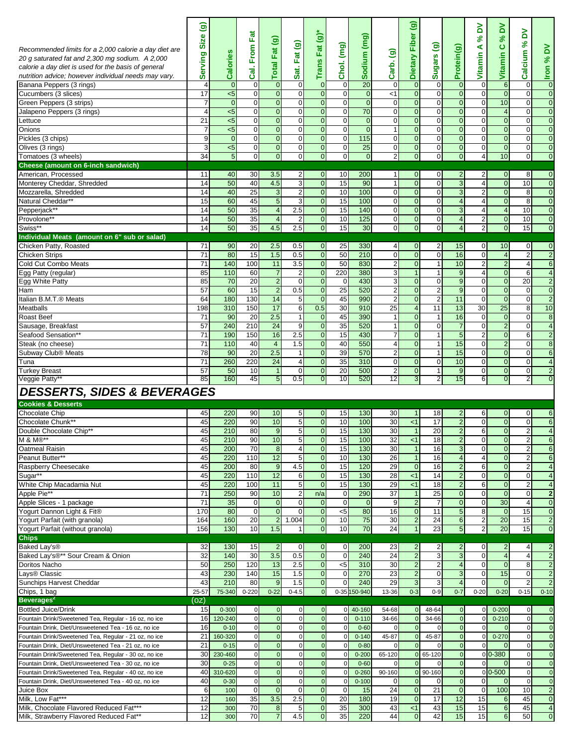| Recommended limits for a 2,000 calorie a day diet are<br>20 g saturated fat and 2,300 mg sodium. A 2,000<br>calorie a day diet is used for the basis of general<br>nutrition advice; however individual needs may vary.<br>Banana Peppers (3 rings)<br>Cucumbers (3 slices)<br>Green Peppers (3 strips)<br>Jalapeno Peppers (3 rings)<br>Lettuce<br>Onions<br>Pickles (3 chips)<br>Olives (3 rings)<br>Tomatoes (3 wheels) | $\widehat{\mathbf{e}}$<br><b>Size</b><br>Serving<br>$\overline{4}$<br>17<br>7<br>$\overline{4}$<br>21<br>7<br>9<br>3<br>34 | Calories<br>$\mathbf{0}$<br>$5$<br>$\mathbf{0}$<br>$5$<br>$5$<br>$5$<br>$\overline{0}$<br>$5$<br>$\overline{5}$ | Fat<br>From<br>ತ್ತ<br>0<br>$\mathbf 0$<br>$\mathbf 0$<br>0<br>$\mathbf 0$<br>$\mathbf 0$<br>$\mathbf 0$<br>0<br>0 | $\widehat{\mathbf{e}}$<br>Fat <sup>1</sup><br><b>Total</b><br>$\overline{0}$<br>$\overline{0}$<br>$\mathbf{0}$<br>$\overline{0}$<br>$\overline{0}$<br>$\overline{0}$<br>$\overline{0}$<br>$\mathbf{0}$<br>$\mathbf{0}$ | Fat (g)<br>Sat.<br>$\overline{0}$<br>$\mathbf{0}$<br>$\overline{0}$<br>$\overline{0}$<br>$\overline{0}$<br>$\overline{0}$<br>$\overline{0}$<br>$\overline{0}$<br>$\overline{0}$ | Trans Fat $(g)$ *<br>$\overline{0}$<br>$\overline{0}$<br>$\overline{0}$<br>$\mathbf{0}$<br>$\overline{0}$<br>$\overline{0}$<br>$\overline{0}$<br>$\overline{0}$<br>$\overline{0}$ | Chol. (mg)<br>$\mathbf 0$<br>$\mathbf{0}$<br>$\mathbf{0}$<br>$\pmb{0}$<br>$\mathbf{0}$<br>$\mathbf{0}$<br>$\mathbf 0$<br>0<br>$\mathbf 0$ | Sodium (mg)<br>$\overline{20}$<br>$\overline{0}$<br>$\overline{0}$<br>70<br>$\overline{0}$<br>$\overline{0}$<br>115<br>25<br>$\overline{0}$ | Carb. (g)<br>$\mathbf 0$<br>$<$ 1<br>$\mathbf{0}$<br>$\mathbf 0$<br>$\mathbf 0$<br>$\mathbf{1}$<br>$\mathbf{0}$<br>$\mathbf 0$<br>2 | $\widehat{\mathbf{e}}$<br>Dietary Fiber<br>$\bf 0$<br>$\mathbf 0$<br>$\mathbf 0$<br>$\mathbf 0$<br>$\mathbf 0$<br>$\mathbf{0}$<br>$\overline{0}$<br>$\mathbf{0}$<br>$\mathbf 0$ | ම<br><b>Sugars</b><br>$\mathbf 0$<br>$\mathbf 0$<br>$\mathbf 0$<br>$\mathbf 0$<br>$\mathbf 0$<br>$\mathbf 0$<br>$\mathbf 0$<br>$\mathbf 0$<br>$\mathbf 0$ | Protein(g)<br>$\overline{0}$<br>$\mathbf{0}$<br>$\overline{0}$<br>$\overline{0}$<br>$\overline{0}$<br>$\overline{0}$<br>$\Omega$<br>$\mathbf{0}$<br>$\mathbf{0}$ | ≧<br>$\aleph$<br>⋖<br>Vitamin<br>$\boldsymbol{0}$<br>$\overline{0}$<br>$\overline{0}$<br>0<br>$\overline{0}$<br>$\overline{0}$<br>$\mathbf{0}$<br>$\overline{0}$<br>$\overline{4}$ | ă<br>ಸಿ<br>ပ<br>Vitamin<br>$6\phantom{1}$<br>$\mathbf{0}$<br>10<br>$\overline{4}$<br>$\mathbf 0$<br>$\overline{0}$<br>$\overline{0}$<br>0<br>10 | λđ<br>$\aleph$<br>Calcium<br>0<br>$\overline{0}$<br>$\overline{0}$<br>$\mathbf{0}$<br>$\overline{0}$<br>$\overline{0}$<br>$\overline{0}$<br>$\mathbf{0}$<br>$\overline{0}$ | ă<br>ಸಿ<br><b>Iron</b><br>$\overline{0}$<br>$\overline{0}$<br>$\overline{0}$<br>$\overline{0}$<br>$\overline{0}$<br>$\overline{0}$<br>$\overline{0}$<br>$\overline{0}$<br>$\boldsymbol{0}$ |
|----------------------------------------------------------------------------------------------------------------------------------------------------------------------------------------------------------------------------------------------------------------------------------------------------------------------------------------------------------------------------------------------------------------------------|----------------------------------------------------------------------------------------------------------------------------|-----------------------------------------------------------------------------------------------------------------|-------------------------------------------------------------------------------------------------------------------|------------------------------------------------------------------------------------------------------------------------------------------------------------------------------------------------------------------------|---------------------------------------------------------------------------------------------------------------------------------------------------------------------------------|-----------------------------------------------------------------------------------------------------------------------------------------------------------------------------------|-------------------------------------------------------------------------------------------------------------------------------------------|---------------------------------------------------------------------------------------------------------------------------------------------|-------------------------------------------------------------------------------------------------------------------------------------|---------------------------------------------------------------------------------------------------------------------------------------------------------------------------------|-----------------------------------------------------------------------------------------------------------------------------------------------------------|------------------------------------------------------------------------------------------------------------------------------------------------------------------|------------------------------------------------------------------------------------------------------------------------------------------------------------------------------------|-------------------------------------------------------------------------------------------------------------------------------------------------|----------------------------------------------------------------------------------------------------------------------------------------------------------------------------|--------------------------------------------------------------------------------------------------------------------------------------------------------------------------------------------|
| <b>Cheese (amount on 6-inch sandwich)</b>                                                                                                                                                                                                                                                                                                                                                                                  |                                                                                                                            |                                                                                                                 |                                                                                                                   |                                                                                                                                                                                                                        |                                                                                                                                                                                 |                                                                                                                                                                                   |                                                                                                                                           |                                                                                                                                             |                                                                                                                                     |                                                                                                                                                                                 |                                                                                                                                                           |                                                                                                                                                                  |                                                                                                                                                                                    |                                                                                                                                                 |                                                                                                                                                                            |                                                                                                                                                                                            |
| American, Processed                                                                                                                                                                                                                                                                                                                                                                                                        | 11                                                                                                                         | 40                                                                                                              | 30                                                                                                                | 3.5                                                                                                                                                                                                                    | $\overline{2}$                                                                                                                                                                  | $\overline{0}$                                                                                                                                                                    | 10                                                                                                                                        | 200                                                                                                                                         | $\mathbf{1}$                                                                                                                        | $\mathbf{0}$                                                                                                                                                                    | $\mathbf 0$                                                                                                                                               | $\overline{2}$                                                                                                                                                   | 2                                                                                                                                                                                  | $\overline{0}$                                                                                                                                  | 8                                                                                                                                                                          | $\overline{0}$                                                                                                                                                                             |
| Monterey Cheddar, Shredded<br>Mozzarella, Shredded                                                                                                                                                                                                                                                                                                                                                                         | 14<br>14                                                                                                                   | 50<br>40                                                                                                        | 40<br>25                                                                                                          | 4.5<br>$\mathbf{3}$                                                                                                                                                                                                    | 3<br>$\overline{a}$                                                                                                                                                             | $\overline{0}$<br>$\overline{0}$                                                                                                                                                  | 15<br>10                                                                                                                                  | 90<br>100                                                                                                                                   | $\mathbf{1}$<br>$\boldsymbol{0}$                                                                                                    | $\overline{0}$<br>$\mathbf 0$                                                                                                                                                   | $\mathbf 0$<br>$\mathbf 0$                                                                                                                                | 3<br>3                                                                                                                                                           | $\overline{4}$<br>$\overline{2}$                                                                                                                                                   | $\overline{0}$<br>$\overline{0}$                                                                                                                | 10<br>8                                                                                                                                                                    | $\overline{0}$<br>$\overline{0}$                                                                                                                                                           |
| Natural Cheddar**                                                                                                                                                                                                                                                                                                                                                                                                          | 15                                                                                                                         | 60                                                                                                              | 45                                                                                                                | $\mathfrak{g}$                                                                                                                                                                                                         | 3                                                                                                                                                                               | $\overline{0}$                                                                                                                                                                    | 15                                                                                                                                        | 100                                                                                                                                         | $\overline{0}$                                                                                                                      | $\overline{0}$                                                                                                                                                                  | $\overline{0}$                                                                                                                                            | $\overline{4}$                                                                                                                                                   | $\overline{4}$                                                                                                                                                                     | $\overline{0}$                                                                                                                                  | 8                                                                                                                                                                          | $\overline{0}$                                                                                                                                                                             |
| Pepperjack**                                                                                                                                                                                                                                                                                                                                                                                                               | 14                                                                                                                         | 50                                                                                                              | 35                                                                                                                | $\overline{4}$                                                                                                                                                                                                         | 2.5                                                                                                                                                                             | $\overline{0}$                                                                                                                                                                    | 15                                                                                                                                        | 140                                                                                                                                         | $\mathbf 0$                                                                                                                         | $\mathbf 0$                                                                                                                                                                     | $\mathbf 0$                                                                                                                                               | 3                                                                                                                                                                | 4                                                                                                                                                                                  | $\overline{\mathbf{4}}$                                                                                                                         | 10                                                                                                                                                                         | $\overline{0}$                                                                                                                                                                             |
| Provolone**                                                                                                                                                                                                                                                                                                                                                                                                                | 14                                                                                                                         | 50                                                                                                              | 35                                                                                                                | $\overline{4}$                                                                                                                                                                                                         | 2                                                                                                                                                                               | $\boldsymbol{0}$                                                                                                                                                                  | 10                                                                                                                                        | 125                                                                                                                                         | $\mathbf 0$                                                                                                                         | $\mathbf 0$                                                                                                                                                                     | $\pmb{0}$                                                                                                                                                 | $\overline{4}$                                                                                                                                                   | $\overline{2}$                                                                                                                                                                     | $\pmb{0}$                                                                                                                                       | 10                                                                                                                                                                         | $\overline{0}$                                                                                                                                                                             |
| Swiss*                                                                                                                                                                                                                                                                                                                                                                                                                     | 14                                                                                                                         | 50                                                                                                              | 35                                                                                                                | 4.5                                                                                                                                                                                                                    | 2.5                                                                                                                                                                             | $\pmb{0}$                                                                                                                                                                         | 15                                                                                                                                        | 30                                                                                                                                          | $\overline{0}$                                                                                                                      | $\overline{0}$                                                                                                                                                                  | $\mathbf{0}$                                                                                                                                              | $\overline{4}$                                                                                                                                                   | $\overline{2}$                                                                                                                                                                     | $\overline{0}$                                                                                                                                  | 15                                                                                                                                                                         | $\overline{0}$                                                                                                                                                                             |
| Individual Meats (amount on 6" sub or salad)<br>Chicken Patty, Roasted                                                                                                                                                                                                                                                                                                                                                     | 71                                                                                                                         | 90                                                                                                              | 20                                                                                                                | 2.5                                                                                                                                                                                                                    | 0.5                                                                                                                                                                             | $\overline{0}$                                                                                                                                                                    | 25                                                                                                                                        | 330                                                                                                                                         | 4                                                                                                                                   | 0                                                                                                                                                                               | 2                                                                                                                                                         | 15                                                                                                                                                               | $\overline{0}$                                                                                                                                                                     | 10                                                                                                                                              | $\overline{0}$                                                                                                                                                             | $\overline{0}$                                                                                                                                                                             |
| <b>Chicken Strips</b>                                                                                                                                                                                                                                                                                                                                                                                                      | 71                                                                                                                         | 80                                                                                                              | 15                                                                                                                | 1.5                                                                                                                                                                                                                    | 0.5                                                                                                                                                                             | $\overline{0}$                                                                                                                                                                    | 50                                                                                                                                        | 210                                                                                                                                         | $\overline{0}$                                                                                                                      | $\mathbf 0$                                                                                                                                                                     | $\overline{0}$                                                                                                                                            | 16                                                                                                                                                               | $\overline{0}$                                                                                                                                                                     | 4                                                                                                                                               | $\overline{2}$                                                                                                                                                             | $\overline{2}$                                                                                                                                                                             |
| Cold Cut Combo Meats                                                                                                                                                                                                                                                                                                                                                                                                       | 71                                                                                                                         | 140                                                                                                             | 100                                                                                                               | 11                                                                                                                                                                                                                     | 3.5                                                                                                                                                                             | $\overline{0}$                                                                                                                                                                    | 50                                                                                                                                        | 830                                                                                                                                         | $\overline{2}$                                                                                                                      | $\mathbf{0}$                                                                                                                                                                    | $\mathbf{1}$                                                                                                                                              | 10                                                                                                                                                               | $\overline{2}$                                                                                                                                                                     | $\overline{2}$                                                                                                                                  | $\overline{4}$                                                                                                                                                             | 6                                                                                                                                                                                          |
| Egg Patty (regular)                                                                                                                                                                                                                                                                                                                                                                                                        | 85                                                                                                                         | 110                                                                                                             | 60                                                                                                                | $\overline{7}$                                                                                                                                                                                                         | 2                                                                                                                                                                               | $\mathbf 0$                                                                                                                                                                       | 220                                                                                                                                       | 380                                                                                                                                         | 3                                                                                                                                   | $\overline{1}$                                                                                                                                                                  | $\overline{1}$                                                                                                                                            | 9                                                                                                                                                                | 4                                                                                                                                                                                  | $\mathbf 0$                                                                                                                                     | 6                                                                                                                                                                          | $\overline{4}$                                                                                                                                                                             |
| Egg White Patty                                                                                                                                                                                                                                                                                                                                                                                                            | 85                                                                                                                         | 70                                                                                                              | 20                                                                                                                | $\overline{2}$                                                                                                                                                                                                         | $\overline{0}$                                                                                                                                                                  | $\overline{0}$                                                                                                                                                                    | $\mathbf 0$                                                                                                                               | 430                                                                                                                                         | 3                                                                                                                                   | $\mathbf 0$                                                                                                                                                                     | $\mathbf 0$                                                                                                                                               | 9                                                                                                                                                                | 0                                                                                                                                                                                  | $\overline{0}$                                                                                                                                  | 20                                                                                                                                                                         | $\overline{2}$                                                                                                                                                                             |
| Ham<br>Italian B.M.T.® Meats                                                                                                                                                                                                                                                                                                                                                                                               | 57<br>64                                                                                                                   | 60<br>180                                                                                                       | 15<br>130                                                                                                         | $\overline{2}$<br>14                                                                                                                                                                                                   | 0.5<br>5                                                                                                                                                                        | $\overline{0}$<br>$\overline{0}$                                                                                                                                                  | 25<br>45                                                                                                                                  | 520<br>990                                                                                                                                  | $\overline{2}$<br>$\overline{2}$                                                                                                    | $\mathbf 0$<br>$\mathbf 0$                                                                                                                                                      | $\overline{2}$<br>$\overline{2}$                                                                                                                          | 9<br>11                                                                                                                                                          | $\overline{0}$<br>$\overline{0}$                                                                                                                                                   | $\overline{0}$<br>$\overline{0}$                                                                                                                | $\mathbf{0}$<br>$\overline{0}$                                                                                                                                             | $\overline{0}$<br>$\overline{2}$                                                                                                                                                           |
| Meatballs                                                                                                                                                                                                                                                                                                                                                                                                                  | 198                                                                                                                        | 310                                                                                                             | 150                                                                                                               | 17                                                                                                                                                                                                                     | 6                                                                                                                                                                               | 0.5                                                                                                                                                                               | 30                                                                                                                                        | 910                                                                                                                                         | 25                                                                                                                                  | $\overline{4}$                                                                                                                                                                  | 11                                                                                                                                                        | 13                                                                                                                                                               | 30                                                                                                                                                                                 | 25                                                                                                                                              | 8                                                                                                                                                                          | 10                                                                                                                                                                                         |
| Roast Beef                                                                                                                                                                                                                                                                                                                                                                                                                 | 71                                                                                                                         | 90                                                                                                              | 20                                                                                                                | 2.5                                                                                                                                                                                                                    | 1                                                                                                                                                                               | $\overline{0}$                                                                                                                                                                    | 45                                                                                                                                        | 390                                                                                                                                         | $\mathbf{1}$                                                                                                                        | $\mathbf{0}$                                                                                                                                                                    | $\mathbf{1}$                                                                                                                                              | 16                                                                                                                                                               | $\overline{0}$                                                                                                                                                                     | 0                                                                                                                                               | $\mathbf{0}$                                                                                                                                                               | $\boldsymbol{8}$                                                                                                                                                                           |
| Sausage, Breakfast                                                                                                                                                                                                                                                                                                                                                                                                         | 57                                                                                                                         | 240                                                                                                             | 210                                                                                                               | 24                                                                                                                                                                                                                     | 9                                                                                                                                                                               | $\overline{0}$                                                                                                                                                                    | 35                                                                                                                                        | 520                                                                                                                                         | $\mathbf{1}$                                                                                                                        | $\overline{0}$                                                                                                                                                                  | $\mathbf 0$                                                                                                                                               | $\overline{7}$                                                                                                                                                   | $\Omega$                                                                                                                                                                           | $\overline{2}$                                                                                                                                  | $\overline{0}$                                                                                                                                                             | $\overline{4}$                                                                                                                                                                             |
| Seafood Sensation**                                                                                                                                                                                                                                                                                                                                                                                                        | 71                                                                                                                         | 190                                                                                                             | 150                                                                                                               | 16                                                                                                                                                                                                                     | 2.5                                                                                                                                                                             | $\overline{0}$                                                                                                                                                                    | 15                                                                                                                                        | 430                                                                                                                                         | $\overline{7}$                                                                                                                      | $\mathbf 0$                                                                                                                                                                     | $\mathbf{1}$                                                                                                                                              | $5\phantom{1}$                                                                                                                                                   | $\overline{2}$                                                                                                                                                                     | $\mathbf 0$                                                                                                                                     | 6                                                                                                                                                                          | $\overline{2}$                                                                                                                                                                             |
| Steak (no cheese)<br>Subway Club® Meats                                                                                                                                                                                                                                                                                                                                                                                    | 71<br>78                                                                                                                   | 110<br>90                                                                                                       | 40<br>20                                                                                                          | $\overline{4}$<br>2.5                                                                                                                                                                                                  | 1.5<br>1                                                                                                                                                                        | $\overline{0}$<br>$\overline{0}$                                                                                                                                                  | 40<br>39                                                                                                                                  | 550<br>570                                                                                                                                  | $\overline{4}$<br>$\overline{2}$                                                                                                    | $\mathbf 0$<br>$\overline{0}$                                                                                                                                                   | $\mathbf{1}$<br>$\mathbf{1}$                                                                                                                              | 15<br>15                                                                                                                                                         | $\overline{0}$<br>$\overline{0}$                                                                                                                                                   | $\overline{c}$<br>$\overline{0}$                                                                                                                | $\mathbf{0}$<br>$\overline{0}$                                                                                                                                             | 8<br>6                                                                                                                                                                                     |
| Tuna                                                                                                                                                                                                                                                                                                                                                                                                                       | 71                                                                                                                         | 260                                                                                                             | 220                                                                                                               | 24                                                                                                                                                                                                                     | $\overline{\mathbf{4}}$                                                                                                                                                         | $\boldsymbol{0}$                                                                                                                                                                  | 35                                                                                                                                        | 310                                                                                                                                         | $\pmb{0}$                                                                                                                           | $\mathbf{0}$                                                                                                                                                                    | 0                                                                                                                                                         | 10                                                                                                                                                               | $\overline{0}$                                                                                                                                                                     | $\overline{0}$                                                                                                                                  | $\mathbf{0}$                                                                                                                                                               | $\overline{4}$                                                                                                                                                                             |
| <b>Turkey Breast</b>                                                                                                                                                                                                                                                                                                                                                                                                       | 57                                                                                                                         | 50                                                                                                              | 10                                                                                                                | $\vert$ 1                                                                                                                                                                                                              | $\mathbf{0}$                                                                                                                                                                    | $\overline{0}$                                                                                                                                                                    | 20                                                                                                                                        | 500                                                                                                                                         | $\overline{2}$                                                                                                                      | $\mathbf{0}$                                                                                                                                                                    | $\mathbf{1}$                                                                                                                                              | 9                                                                                                                                                                | $\overline{0}$                                                                                                                                                                     | $\mathbf 0$                                                                                                                                     | $\overline{0}$                                                                                                                                                             | $\overline{2}$                                                                                                                                                                             |
| Veggie Patty*                                                                                                                                                                                                                                                                                                                                                                                                              | 85                                                                                                                         | 160                                                                                                             | 45                                                                                                                | 5                                                                                                                                                                                                                      | 0.5                                                                                                                                                                             | $\overline{0}$                                                                                                                                                                    | 10                                                                                                                                        | 520                                                                                                                                         | 12                                                                                                                                  | 3                                                                                                                                                                               | 2                                                                                                                                                         | 15                                                                                                                                                               | 6                                                                                                                                                                                  | 0                                                                                                                                               | 2                                                                                                                                                                          | $\overline{0}$                                                                                                                                                                             |
| <b>DESSERTS, SIDES &amp; BEVERAGES</b>                                                                                                                                                                                                                                                                                                                                                                                     |                                                                                                                            |                                                                                                                 |                                                                                                                   |                                                                                                                                                                                                                        |                                                                                                                                                                                 |                                                                                                                                                                                   |                                                                                                                                           |                                                                                                                                             |                                                                                                                                     |                                                                                                                                                                                 |                                                                                                                                                           |                                                                                                                                                                  |                                                                                                                                                                                    |                                                                                                                                                 |                                                                                                                                                                            |                                                                                                                                                                                            |
| <b>Cookies &amp; Desserts</b>                                                                                                                                                                                                                                                                                                                                                                                              |                                                                                                                            |                                                                                                                 |                                                                                                                   |                                                                                                                                                                                                                        |                                                                                                                                                                                 |                                                                                                                                                                                   |                                                                                                                                           |                                                                                                                                             |                                                                                                                                     |                                                                                                                                                                                 |                                                                                                                                                           |                                                                                                                                                                  |                                                                                                                                                                                    |                                                                                                                                                 |                                                                                                                                                                            |                                                                                                                                                                                            |
| <b>Chocolate Chip</b>                                                                                                                                                                                                                                                                                                                                                                                                      | 45                                                                                                                         | 220                                                                                                             | 90                                                                                                                | 10                                                                                                                                                                                                                     | 5 <sub>l</sub>                                                                                                                                                                  | $\overline{0}$                                                                                                                                                                    | 15                                                                                                                                        | 130                                                                                                                                         | 30                                                                                                                                  | 1                                                                                                                                                                               | 18                                                                                                                                                        | 2                                                                                                                                                                | 6                                                                                                                                                                                  | $\overline{0}$                                                                                                                                  | $\overline{0}$                                                                                                                                                             | $6 \,$                                                                                                                                                                                     |
| Chocolate Chunk**<br>Double Chocolate Chip**                                                                                                                                                                                                                                                                                                                                                                               | 45                                                                                                                         | 220<br>210                                                                                                      | 90<br>80                                                                                                          | 10<br>9                                                                                                                                                                                                                | 5<br>5                                                                                                                                                                          | $\overline{0}$<br>$\pmb{0}$                                                                                                                                                       | 10                                                                                                                                        | 100<br>130                                                                                                                                  | 30                                                                                                                                  | < 1<br>$\overline{1}$                                                                                                                                                           | 17<br>20                                                                                                                                                  | $\overline{2}$<br>$\overline{2}$                                                                                                                                 | $\overline{0}$<br>6                                                                                                                                                                | $\overline{0}$<br>0                                                                                                                             | $\overline{0}$<br>$\overline{a}$                                                                                                                                           | 6<br>$\overline{4}$                                                                                                                                                                        |
| M & M®*                                                                                                                                                                                                                                                                                                                                                                                                                    | 45<br>45                                                                                                                   | 210                                                                                                             | 90                                                                                                                | 10                                                                                                                                                                                                                     | b                                                                                                                                                                               | <sub>U</sub>                                                                                                                                                                      | 15<br>15                                                                                                                                  | 100                                                                                                                                         | 30<br>32                                                                                                                            | ≤1                                                                                                                                                                              | 18                                                                                                                                                        |                                                                                                                                                                  | υ                                                                                                                                                                                  |                                                                                                                                                 |                                                                                                                                                                            | $6 \,$                                                                                                                                                                                     |
| Oatmeal Raisin                                                                                                                                                                                                                                                                                                                                                                                                             | 45                                                                                                                         | 200                                                                                                             | 70                                                                                                                | $\bf{8}$                                                                                                                                                                                                               | $\overline{4}$                                                                                                                                                                  | $\overline{0}$                                                                                                                                                                    | 15                                                                                                                                        | 130                                                                                                                                         | 30                                                                                                                                  | $\mathbf{1}$                                                                                                                                                                    | 16                                                                                                                                                        | 3                                                                                                                                                                | $\mathbf{0}$                                                                                                                                                                       | $\overline{0}$                                                                                                                                  | $\overline{a}$                                                                                                                                                             | $6 \,$                                                                                                                                                                                     |
| Peanut Butter**                                                                                                                                                                                                                                                                                                                                                                                                            | 45                                                                                                                         | 220                                                                                                             | 110                                                                                                               | 12                                                                                                                                                                                                                     | 5                                                                                                                                                                               | $\overline{0}$                                                                                                                                                                    | 10                                                                                                                                        | 130                                                                                                                                         | 26                                                                                                                                  | $\mathbf{1}$                                                                                                                                                                    | 16                                                                                                                                                        | $\overline{4}$                                                                                                                                                   | $\overline{4}$                                                                                                                                                                     | $\overline{O}$                                                                                                                                  | $\overline{c}$                                                                                                                                                             | $6 \overline{6}$                                                                                                                                                                           |
| Raspberry Cheesecake                                                                                                                                                                                                                                                                                                                                                                                                       | 45                                                                                                                         | 200                                                                                                             | 80                                                                                                                | 9                                                                                                                                                                                                                      | 4.5                                                                                                                                                                             | $\overline{0}$                                                                                                                                                                    | 15                                                                                                                                        | 120                                                                                                                                         | 29                                                                                                                                  | $\mathbf 0$                                                                                                                                                                     | 16                                                                                                                                                        | $\overline{2}$                                                                                                                                                   | 6                                                                                                                                                                                  | $\overline{0}$                                                                                                                                  | $\overline{2}$                                                                                                                                                             | $\overline{4}$                                                                                                                                                                             |
| Sugar**<br>White Chip Macadamia Nut                                                                                                                                                                                                                                                                                                                                                                                        | 45<br>45                                                                                                                   | 220<br>220                                                                                                      | 110<br>100                                                                                                        | 12<br>11                                                                                                                                                                                                               | 6<br>5                                                                                                                                                                          | $\overline{0}$<br>$\overline{0}$                                                                                                                                                  | 15<br>15                                                                                                                                  | 130<br>130                                                                                                                                  | 28<br>29                                                                                                                            | < 1<br>$\leq 1$                                                                                                                                                                 | 14<br>18                                                                                                                                                  | $\overline{2}$<br>$\overline{2}$                                                                                                                                 | $\mathbf 0$<br>6                                                                                                                                                                   | $\overline{0}$<br>$\mathbf 0$                                                                                                                   | $\mathbf{0}$<br>$\overline{2}$                                                                                                                                             | $\overline{4}$<br>$\overline{4}$                                                                                                                                                           |
| Apple Pie**                                                                                                                                                                                                                                                                                                                                                                                                                | 71                                                                                                                         | 250                                                                                                             | 90                                                                                                                | 10                                                                                                                                                                                                                     | $\overline{2}$                                                                                                                                                                  | n/a                                                                                                                                                                               | $\mathbf 0$                                                                                                                               | 290                                                                                                                                         | $\overline{37}$                                                                                                                     | $\mathbf{1}$                                                                                                                                                                    | 25                                                                                                                                                        | $\overline{0}$                                                                                                                                                   | $\overline{0}$                                                                                                                                                                     | $\overline{0}$                                                                                                                                  | $\mathbf{0}$                                                                                                                                                               | $\overline{2}$                                                                                                                                                                             |
| Apple Slices - 1 package                                                                                                                                                                                                                                                                                                                                                                                                   | 71                                                                                                                         | 35                                                                                                              | $\overline{0}$                                                                                                    | $\overline{0}$                                                                                                                                                                                                         | $\overline{0}$                                                                                                                                                                  | $\overline{0}$                                                                                                                                                                    | $\mathbf 0$                                                                                                                               | $\overline{0}$                                                                                                                              | 9                                                                                                                                   | $\overline{c}$                                                                                                                                                                  | $\overline{7}$                                                                                                                                            | $\overline{0}$                                                                                                                                                   | $\mathbf 0$                                                                                                                                                                        | 30                                                                                                                                              | $\overline{4}$                                                                                                                                                             | $\overline{0}$                                                                                                                                                                             |
| Yogurt Dannon Light & Fit®                                                                                                                                                                                                                                                                                                                                                                                                 | 170                                                                                                                        | 80                                                                                                              | $\mathbf 0$                                                                                                       | $\overline{O}$                                                                                                                                                                                                         | $\Omega$                                                                                                                                                                        | $\overline{0}$                                                                                                                                                                    | $<$ 5                                                                                                                                     | 80                                                                                                                                          | 16                                                                                                                                  | $\mathbf 0$                                                                                                                                                                     | 11                                                                                                                                                        | 5                                                                                                                                                                | 8                                                                                                                                                                                  | $\mathbf{0}$                                                                                                                                    | 15                                                                                                                                                                         | $\overline{0}$                                                                                                                                                                             |
| Yogurt Parfait (with granola)                                                                                                                                                                                                                                                                                                                                                                                              | 164<br>156                                                                                                                 | 160<br>130                                                                                                      | 20<br>10                                                                                                          | $2 \overline{ }$<br>1.5                                                                                                                                                                                                | 1.004                                                                                                                                                                           | $\overline{0}$<br>$\boldsymbol{0}$                                                                                                                                                | 10                                                                                                                                        | 75<br>70                                                                                                                                    | 30<br>$\overline{24}$                                                                                                               | $\mathbf 2$<br>$\mathbf{1}$                                                                                                                                                     | 24<br>23                                                                                                                                                  | 6<br>5 <sub>5</sub>                                                                                                                                              | $\overline{a}$                                                                                                                                                                     | 20<br>20                                                                                                                                        | 15                                                                                                                                                                         | $\overline{2}$<br>$\boldsymbol{0}$                                                                                                                                                         |
| Yogurt Parfait (without granola)<br><b>Chips</b>                                                                                                                                                                                                                                                                                                                                                                           |                                                                                                                            |                                                                                                                 |                                                                                                                   |                                                                                                                                                                                                                        |                                                                                                                                                                                 |                                                                                                                                                                                   | 10                                                                                                                                        |                                                                                                                                             |                                                                                                                                     |                                                                                                                                                                                 |                                                                                                                                                           |                                                                                                                                                                  | $\overline{a}$                                                                                                                                                                     |                                                                                                                                                 | 15                                                                                                                                                                         |                                                                                                                                                                                            |
| Baked Lay's <sup>®</sup>                                                                                                                                                                                                                                                                                                                                                                                                   | 32                                                                                                                         | 130                                                                                                             | 15                                                                                                                | $\overline{2}$                                                                                                                                                                                                         | $\overline{0}$                                                                                                                                                                  | $\overline{0}$                                                                                                                                                                    | $\mathbf 0$                                                                                                                               | 200                                                                                                                                         | 23                                                                                                                                  | $\overline{2}$                                                                                                                                                                  | $\overline{2}$                                                                                                                                            |                                                                                                                                                                  | $\Omega$                                                                                                                                                                           | 2                                                                                                                                               | $\overline{4}$                                                                                                                                                             | $\overline{2}$                                                                                                                                                                             |
| Baked Lay's®** Sour Cream & Onion                                                                                                                                                                                                                                                                                                                                                                                          | 32                                                                                                                         | 140                                                                                                             | 30                                                                                                                | 3.5                                                                                                                                                                                                                    | 0.5                                                                                                                                                                             | $\overline{0}$                                                                                                                                                                    | $\mathbf 0$                                                                                                                               | 240                                                                                                                                         | $\overline{24}$                                                                                                                     | $\overline{2}$                                                                                                                                                                  | 3                                                                                                                                                         | 3                                                                                                                                                                | $\mathbf 0$                                                                                                                                                                        | $\overline{4}$                                                                                                                                  | $\overline{4}$                                                                                                                                                             | $\overline{2}$                                                                                                                                                                             |
| Doritos Nacho                                                                                                                                                                                                                                                                                                                                                                                                              | 50                                                                                                                         | 250                                                                                                             | 120                                                                                                               | 13                                                                                                                                                                                                                     | 2.5                                                                                                                                                                             | $\overline{0}$                                                                                                                                                                    | $<$ 5                                                                                                                                     | 310                                                                                                                                         | 30                                                                                                                                  | $\overline{\mathbf{c}}$                                                                                                                                                         | $\overline{\mathbf{c}}$                                                                                                                                   | 4                                                                                                                                                                | $\overline{0}$                                                                                                                                                                     | $\mathbf{0}$                                                                                                                                    | 8                                                                                                                                                                          | $\overline{2}$                                                                                                                                                                             |
| Lays® Classic<br>Sunchips Harvest Cheddar                                                                                                                                                                                                                                                                                                                                                                                  | 43<br>43                                                                                                                   | 230<br>210                                                                                                      | 140<br>80                                                                                                         | 15<br>9                                                                                                                                                                                                                | 1.5<br>1.5                                                                                                                                                                      | $\overline{0}$<br>$\overline{0}$                                                                                                                                                  | $\mathbf 0$<br>0                                                                                                                          | 270<br>240                                                                                                                                  | 23<br>29                                                                                                                            | $\overline{2}$<br>$\overline{3}$                                                                                                                                                | $\mathbf 0$<br>3                                                                                                                                          | 3<br>$\overline{4}$                                                                                                                                              | $\mathbf{0}$<br>$\mathbf 0$                                                                                                                                                        | 15<br>$\mathbf{0}$                                                                                                                              | $\overline{0}$<br>$\overline{c}$                                                                                                                                           | $\overline{2}$<br>$\overline{2}$                                                                                                                                                           |
| Chips, 1 bag                                                                                                                                                                                                                                                                                                                                                                                                               | 25-57                                                                                                                      | 75-340                                                                                                          | $0 - 220$                                                                                                         | $0 - 22$                                                                                                                                                                                                               | $0 - 4.5$                                                                                                                                                                       | $\overline{0}$                                                                                                                                                                    |                                                                                                                                           | 0-35 150-940                                                                                                                                | 13-36                                                                                                                               | $0 - 3$                                                                                                                                                                         | $0 - 9$                                                                                                                                                   | $0 - 7$                                                                                                                                                          | $0 - 20$                                                                                                                                                                           | $0 - 20$                                                                                                                                        | $0 - 15$                                                                                                                                                                   | $0 - 10$                                                                                                                                                                                   |
| Beverages <sup>2</sup>                                                                                                                                                                                                                                                                                                                                                                                                     | (OZ)                                                                                                                       |                                                                                                                 |                                                                                                                   |                                                                                                                                                                                                                        |                                                                                                                                                                                 |                                                                                                                                                                                   |                                                                                                                                           |                                                                                                                                             |                                                                                                                                     |                                                                                                                                                                                 |                                                                                                                                                           |                                                                                                                                                                  |                                                                                                                                                                                    |                                                                                                                                                 |                                                                                                                                                                            |                                                                                                                                                                                            |
| <b>Bottled Juice/Drink</b>                                                                                                                                                                                                                                                                                                                                                                                                 | 15                                                                                                                         | $0 - 300$                                                                                                       | $\mathbf 0$                                                                                                       | $\overline{0}$                                                                                                                                                                                                         | $\overline{0}$                                                                                                                                                                  | $\overline{0}$                                                                                                                                                                    | $\mathbf{0}$                                                                                                                              | 40-160                                                                                                                                      | 54-68                                                                                                                               | $\mathbf 0$                                                                                                                                                                     | 48-64                                                                                                                                                     | $\overline{0}$                                                                                                                                                   | $\mathbf 0$                                                                                                                                                                        | $0 - 200$                                                                                                                                       | $\overline{0}$                                                                                                                                                             | $\overline{0}$                                                                                                                                                                             |
| Fountain Drink/Sweetened Tea, Regular - 16 oz, no ice<br>Fountain Drink, Diet/Unsweetened Tea - 16 oz, no ice                                                                                                                                                                                                                                                                                                              | 16<br>16                                                                                                                   | 120-240<br>$0 - 10$                                                                                             | $\mathbf 0$<br>$\pmb{0}$                                                                                          | $\overline{0}$<br>$\overline{0}$                                                                                                                                                                                       | $\mathbf 0$<br>$\mathbf 0$                                                                                                                                                      | $\pmb{0}$<br>$\mathbf 0$                                                                                                                                                          | $\mathbf 0$<br>0                                                                                                                          | $0 - 110$<br>$0 - 60$                                                                                                                       | 34-66<br>$\mathbf 0$                                                                                                                | $\mathbf 0$<br>$\mathbf 0$                                                                                                                                                      | 34-66                                                                                                                                                     | $\overline{0}$<br>$\mathbf{0}$                                                                                                                                   | $\mathbf 0$<br>$\mathbf 0$                                                                                                                                                         | $0 - 210$<br>$\Omega$                                                                                                                           | $\overline{0}$<br>$\mathbf 0$                                                                                                                                              | $\mathbf 0$<br>$\mathbf{0}$                                                                                                                                                                |
| Fountain Drink/Sweetened Tea, Regular - 21 oz, no ice                                                                                                                                                                                                                                                                                                                                                                      | 21                                                                                                                         | 160-320                                                                                                         | $\mathbf 0$                                                                                                       | $\overline{0}$                                                                                                                                                                                                         | $\mathbf 0$                                                                                                                                                                     | $\mathbf 0$                                                                                                                                                                       | 0                                                                                                                                         | $0 - 140$                                                                                                                                   | 45-87                                                                                                                               | $\mathbf 0$                                                                                                                                                                     | 45-87                                                                                                                                                     | $\Omega$                                                                                                                                                         | 0                                                                                                                                                                                  | $0 - 270$                                                                                                                                       | $\mathbf 0$                                                                                                                                                                | $\mathbf 0$                                                                                                                                                                                |
| Fountain Drink, Diet/Unsweetened Tea - 21 oz, no ice                                                                                                                                                                                                                                                                                                                                                                       | 21                                                                                                                         | $0 - 15$                                                                                                        | $\mathbf 0$                                                                                                       | $\overline{0}$                                                                                                                                                                                                         | $\mathbf 0$                                                                                                                                                                     | $\pmb{0}$                                                                                                                                                                         | $\Omega$                                                                                                                                  | $0 - 80$                                                                                                                                    | $\mathbf 0$                                                                                                                         | $\mathbf 0$                                                                                                                                                                     | $\Omega$                                                                                                                                                  | $\Omega$                                                                                                                                                         | $\Omega$                                                                                                                                                                           |                                                                                                                                                 | $\mathbf 0$                                                                                                                                                                | $\mathbf 0$                                                                                                                                                                                |
| Fountain Drink/Sweetened Tea, Regular - 30 oz, no ice                                                                                                                                                                                                                                                                                                                                                                      | 30                                                                                                                         | 230-460                                                                                                         | $\mathbf 0$                                                                                                       | $\overline{0}$                                                                                                                                                                                                         | $\mathbf 0$                                                                                                                                                                     | $\mathbf 0$                                                                                                                                                                       | 0                                                                                                                                         | $0 - 200$                                                                                                                                   | 65-120                                                                                                                              | $\overline{0}$                                                                                                                                                                  | 65-120                                                                                                                                                    | $\mathbf 0$                                                                                                                                                      |                                                                                                                                                                                    | $0$ 0-380                                                                                                                                       | $\mathbf{0}$                                                                                                                                                               | $\mathbf 0$                                                                                                                                                                                |
| Fountain Drink, Diet/Unsweetened Tea - 30 oz, no ice                                                                                                                                                                                                                                                                                                                                                                       | 30                                                                                                                         | $0 - 25$                                                                                                        | $\mathbf 0$                                                                                                       | $\mathbf{O}$                                                                                                                                                                                                           | $\mathbf 0$                                                                                                                                                                     | $\mathbf 0$                                                                                                                                                                       | $\mathbf 0$                                                                                                                               | $0 - 60$                                                                                                                                    | $\mathbf 0$                                                                                                                         | $\mathbf 0$                                                                                                                                                                     | $\mathbf 0$                                                                                                                                               | $\overline{0}$                                                                                                                                                   | $\mathbf 0$                                                                                                                                                                        |                                                                                                                                                 | $\mathbf{0}$                                                                                                                                                               | $\mathbf 0$                                                                                                                                                                                |
| Fountain Drink/Sweetened Tea, Regular - 40 oz, no ice<br>Fountain Drink, Diet/Unsweetened Tea - 40 oz, no ice                                                                                                                                                                                                                                                                                                              | 40<br>40                                                                                                                   | 310-620<br>$0 - 30$                                                                                             | $\pmb{0}$<br>$\mathbf 0$                                                                                          | $\overline{0}$<br>$\mathbf 0$                                                                                                                                                                                          | $\mathbf 0$<br>$\mathbf 0$                                                                                                                                                      | $\mathbf{O}$<br>$\pmb{0}$                                                                                                                                                         | $\mathbf 0$<br>0                                                                                                                          | $0 - 260$<br>$0 - 100$                                                                                                                      | 90-160<br>$\mathbf 0$                                                                                                               | $\mathbf 0$<br>$\mathbf 0$                                                                                                                                                      | 90-160<br>$\mathbf 0$                                                                                                                                     | $\overline{0}$<br>$\mathbf{0}$                                                                                                                                   | $\overline{0}$                                                                                                                                                                     | $0 0 - 500$<br>$\Omega$                                                                                                                         | $\mathbf 0$<br>$\mathbf{0}$                                                                                                                                                | $\mathbf 0$<br>$\mathbf 0$                                                                                                                                                                 |
| Juice Box                                                                                                                                                                                                                                                                                                                                                                                                                  | $\overline{6}$                                                                                                             | 100                                                                                                             | $\mathbf 0$                                                                                                       | $\mathbf{0}$                                                                                                                                                                                                           | $\overline{0}$                                                                                                                                                                  | $\overline{0}$                                                                                                                                                                    | $\mathbf 0$                                                                                                                               | 15                                                                                                                                          | 24                                                                                                                                  | $\bf 0$                                                                                                                                                                         | 21                                                                                                                                                        | $\overline{0}$                                                                                                                                                   | $\mathbf 0$                                                                                                                                                                        | 100                                                                                                                                             | 10                                                                                                                                                                         | $\overline{2}$                                                                                                                                                                             |
| Milk, Low Fat***                                                                                                                                                                                                                                                                                                                                                                                                           | 12                                                                                                                         | 160                                                                                                             | 35                                                                                                                | 3.5                                                                                                                                                                                                                    | 2.5                                                                                                                                                                             | $\overline{0}$                                                                                                                                                                    | 20                                                                                                                                        | 180                                                                                                                                         | 19                                                                                                                                  | $\mathbf{0}$                                                                                                                                                                    | 17                                                                                                                                                        | 12                                                                                                                                                               | 15                                                                                                                                                                                 | 6                                                                                                                                               | 45                                                                                                                                                                         | $\overline{0}$                                                                                                                                                                             |
| Milk, Chocolate Flavored Reduced Fat***                                                                                                                                                                                                                                                                                                                                                                                    | 12                                                                                                                         | 300                                                                                                             | 70                                                                                                                | 8                                                                                                                                                                                                                      | 5                                                                                                                                                                               | $\pmb{0}$                                                                                                                                                                         | 35                                                                                                                                        | 300                                                                                                                                         | 43                                                                                                                                  | < 1                                                                                                                                                                             | 43                                                                                                                                                        | 15                                                                                                                                                               | 15                                                                                                                                                                                 | $\bf 6$                                                                                                                                         | 45                                                                                                                                                                         | $\overline{4}$                                                                                                                                                                             |
| Milk, Strawberry Flavored Reduced Fat**                                                                                                                                                                                                                                                                                                                                                                                    | 12                                                                                                                         | 300                                                                                                             | 70                                                                                                                | $\overline{7}$                                                                                                                                                                                                         | 4.5                                                                                                                                                                             | $\overline{0}$                                                                                                                                                                    | 35                                                                                                                                        | 220                                                                                                                                         | 44                                                                                                                                  | $\mathbf{0}$                                                                                                                                                                    | 42                                                                                                                                                        | 15                                                                                                                                                               | 15                                                                                                                                                                                 | $6\phantom{.}$                                                                                                                                  | 50                                                                                                                                                                         | $\boldsymbol{0}$                                                                                                                                                                           |